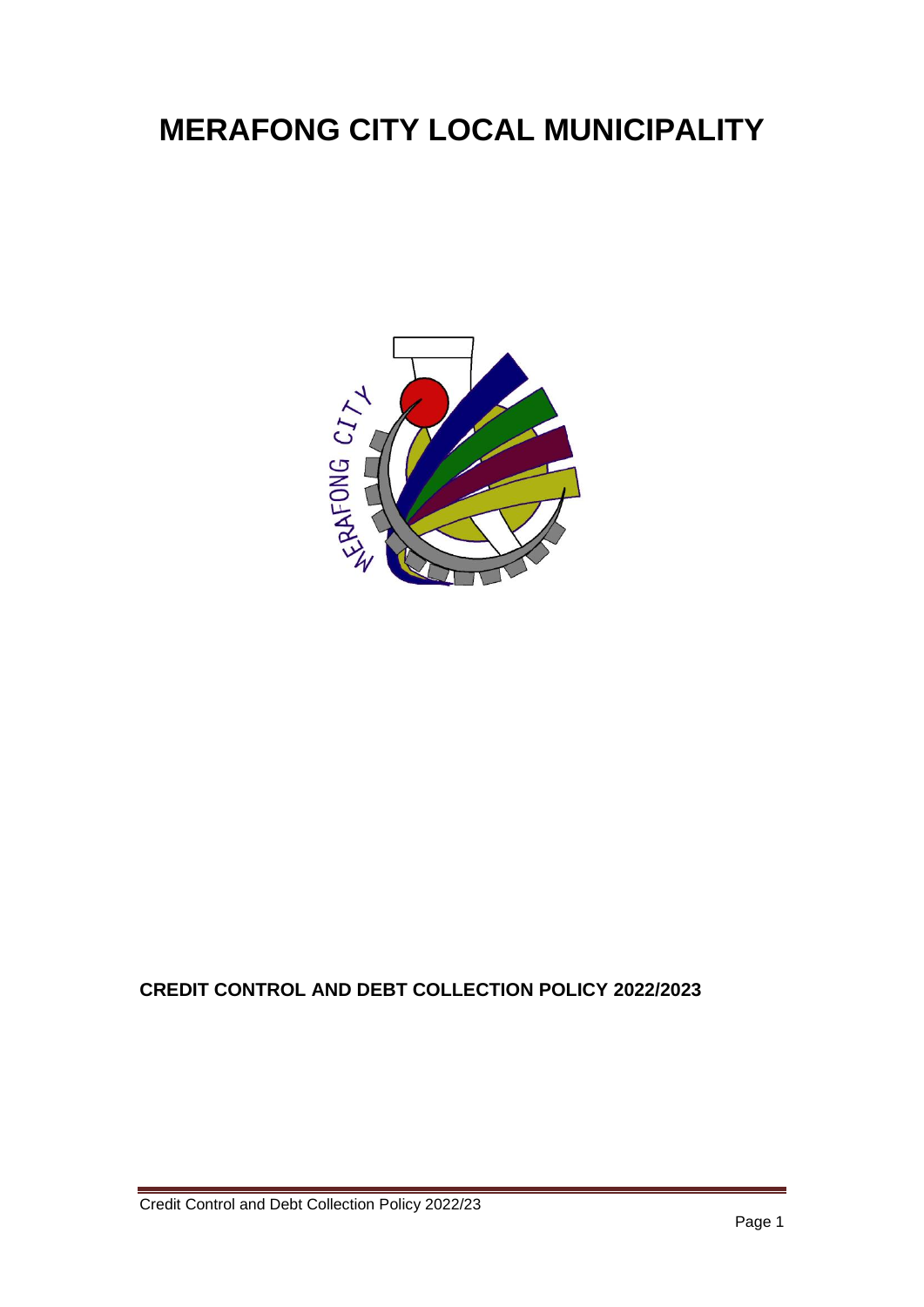# **MERAFONG CITY LOCAL MUNICIPALITY**



## **CREDIT CONTROL AND DEBT COLLECTION POLICY 2022/2023**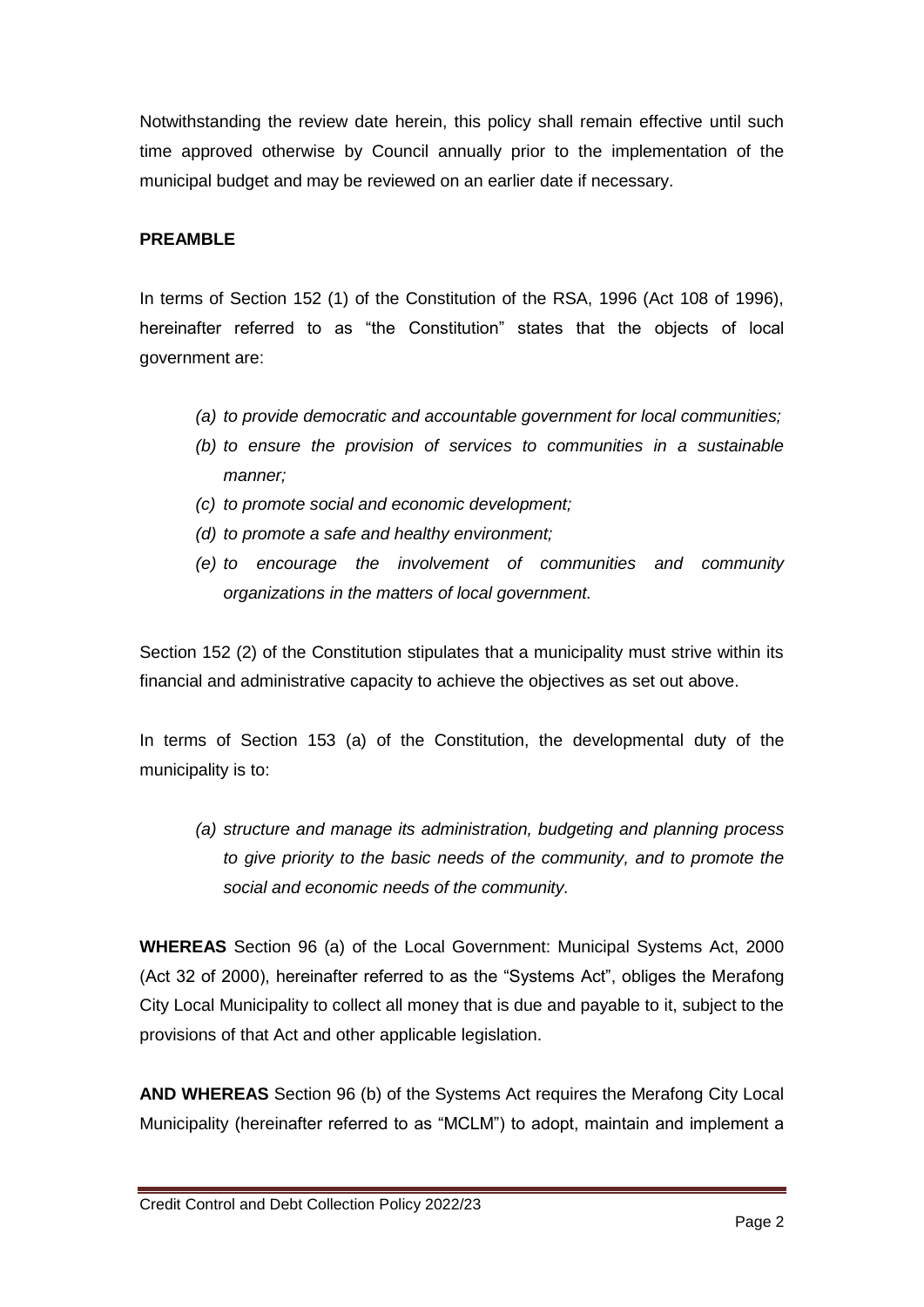Notwithstanding the review date herein, this policy shall remain effective until such time approved otherwise by Council annually prior to the implementation of the municipal budget and may be reviewed on an earlier date if necessary.

#### **PREAMBLE**

In terms of Section 152 (1) of the Constitution of the RSA, 1996 (Act 108 of 1996), hereinafter referred to as "the Constitution" states that the objects of local government are:

- *(a) to provide democratic and accountable government for local communities;*
- *(b) to ensure the provision of services to communities in a sustainable manner;*
- *(c) to promote social and economic development;*
- *(d) to promote a safe and healthy environment;*
- *(e) to encourage the involvement of communities and community organizations in the matters of local government.*

Section 152 (2) of the Constitution stipulates that a municipality must strive within its financial and administrative capacity to achieve the objectives as set out above.

In terms of Section 153 (a) of the Constitution, the developmental duty of the municipality is to:

*(a) structure and manage its administration, budgeting and planning process to give priority to the basic needs of the community, and to promote the social and economic needs of the community.*

**WHEREAS** Section 96 (a) of the Local Government: Municipal Systems Act, 2000 (Act 32 of 2000), hereinafter referred to as the "Systems Act", obliges the Merafong City Local Municipality to collect all money that is due and payable to it, subject to the provisions of that Act and other applicable legislation.

**AND WHEREAS** Section 96 (b) of the Systems Act requires the Merafong City Local Municipality (hereinafter referred to as "MCLM") to adopt, maintain and implement a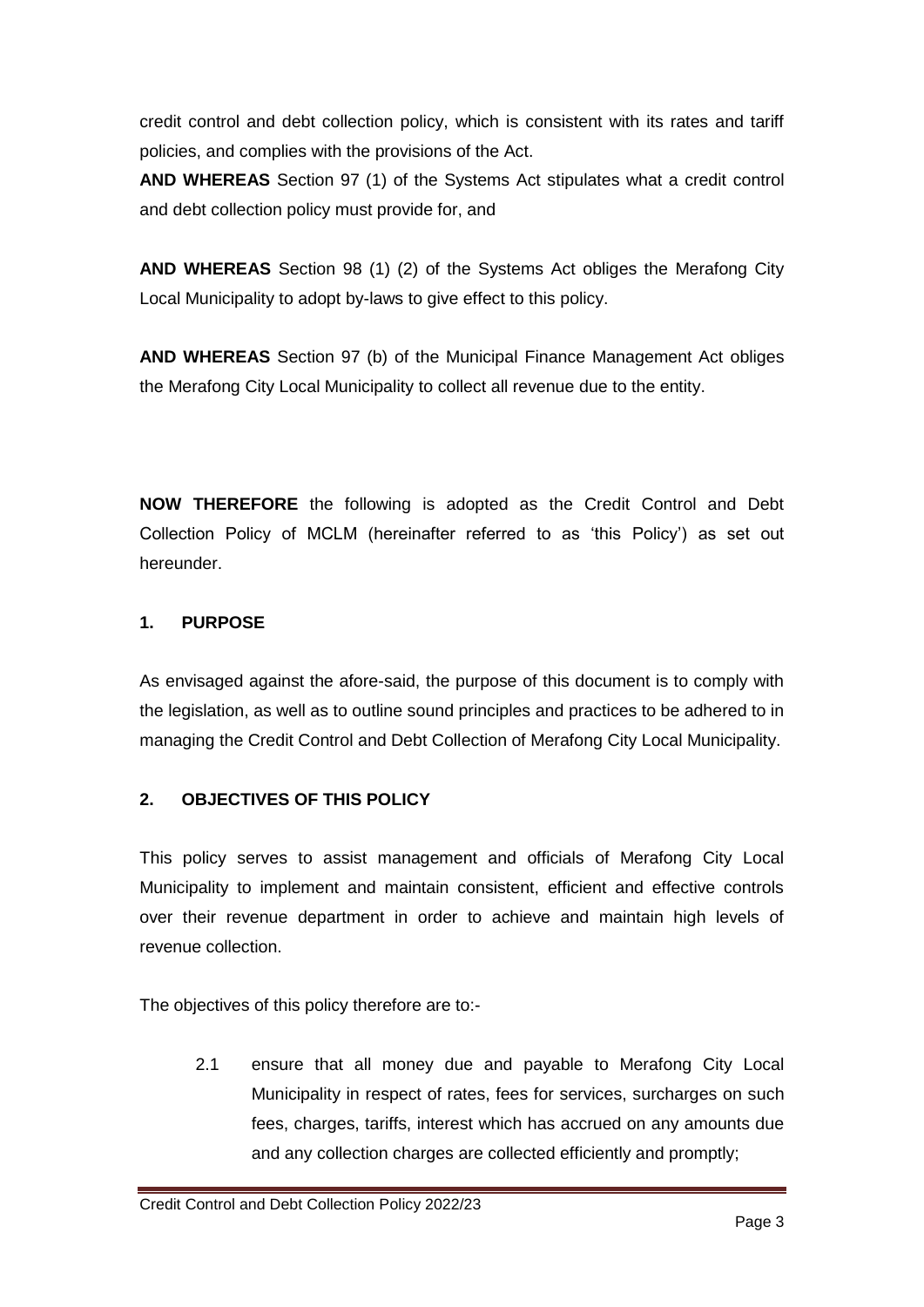credit control and debt collection policy, which is consistent with its rates and tariff policies, and complies with the provisions of the Act.

**AND WHEREAS** Section 97 (1) of the Systems Act stipulates what a credit control and debt collection policy must provide for, and

**AND WHEREAS** Section 98 (1) (2) of the Systems Act obliges the Merafong City Local Municipality to adopt by-laws to give effect to this policy.

**AND WHEREAS** Section 97 (b) of the Municipal Finance Management Act obliges the Merafong City Local Municipality to collect all revenue due to the entity.

**NOW THEREFORE** the following is adopted as the Credit Control and Debt Collection Policy of MCLM (hereinafter referred to as 'this Policy') as set out hereunder.

## **1. PURPOSE**

As envisaged against the afore-said, the purpose of this document is to comply with the legislation, as well as to outline sound principles and practices to be adhered to in managing the Credit Control and Debt Collection of Merafong City Local Municipality.

## **2. OBJECTIVES OF THIS POLICY**

This policy serves to assist management and officials of Merafong City Local Municipality to implement and maintain consistent, efficient and effective controls over their revenue department in order to achieve and maintain high levels of revenue collection.

The objectives of this policy therefore are to:-

2.1 ensure that all money due and payable to Merafong City Local Municipality in respect of rates, fees for services, surcharges on such fees, charges, tariffs, interest which has accrued on any amounts due and any collection charges are collected efficiently and promptly;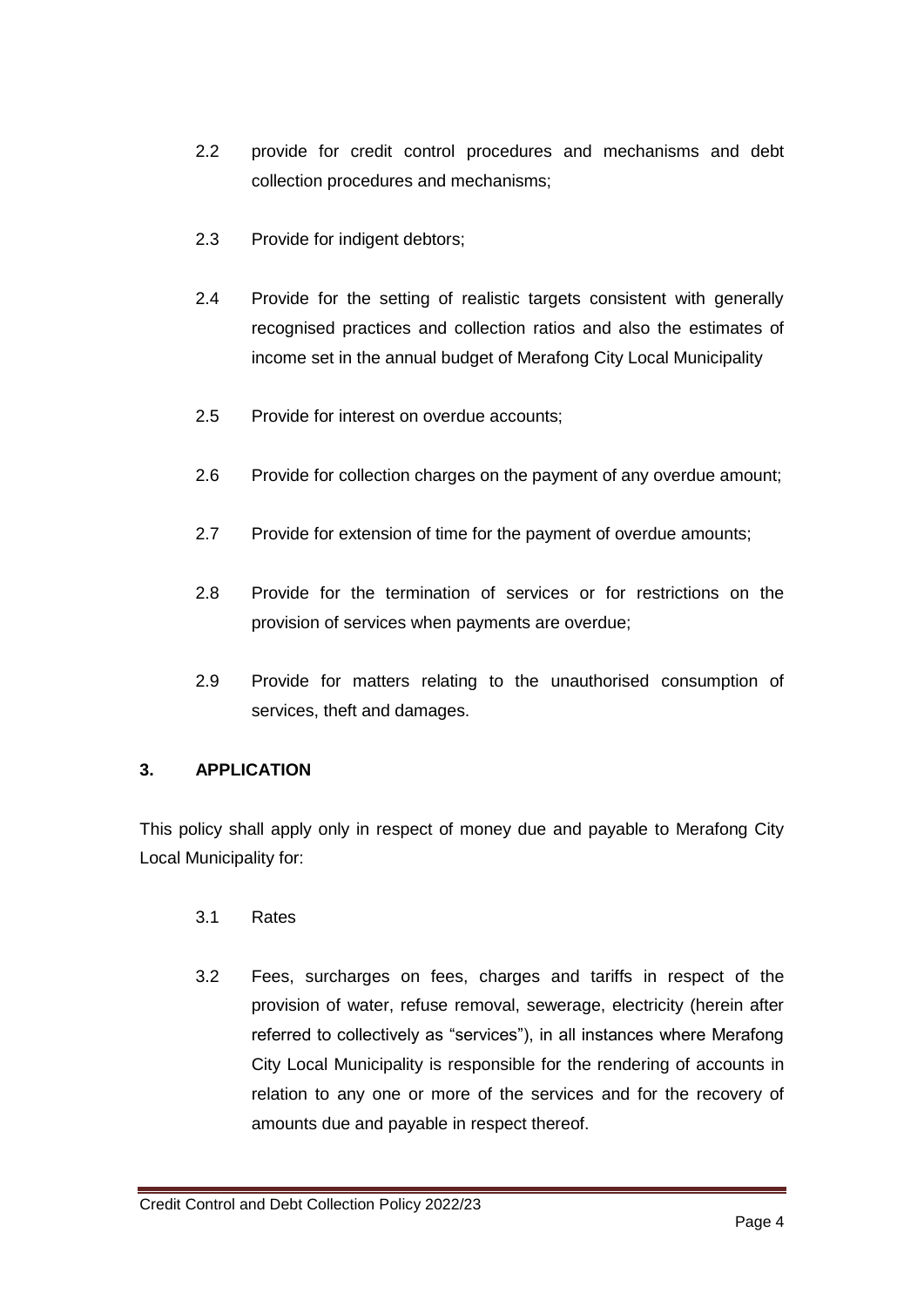- 2.2 provide for credit control procedures and mechanisms and debt collection procedures and mechanisms;
- 2.3 Provide for indigent debtors;
- 2.4 Provide for the setting of realistic targets consistent with generally recognised practices and collection ratios and also the estimates of income set in the annual budget of Merafong City Local Municipality
- 2.5 Provide for interest on overdue accounts;
- 2.6 Provide for collection charges on the payment of any overdue amount;
- 2.7 Provide for extension of time for the payment of overdue amounts;
- 2.8 Provide for the termination of services or for restrictions on the provision of services when payments are overdue;
- 2.9 Provide for matters relating to the unauthorised consumption of services, theft and damages.

## **3. APPLICATION**

This policy shall apply only in respect of money due and payable to Merafong City Local Municipality for:

- 3.1 Rates
- 3.2 Fees, surcharges on fees, charges and tariffs in respect of the provision of water, refuse removal, sewerage, electricity (herein after referred to collectively as "services"), in all instances where Merafong City Local Municipality is responsible for the rendering of accounts in relation to any one or more of the services and for the recovery of amounts due and payable in respect thereof.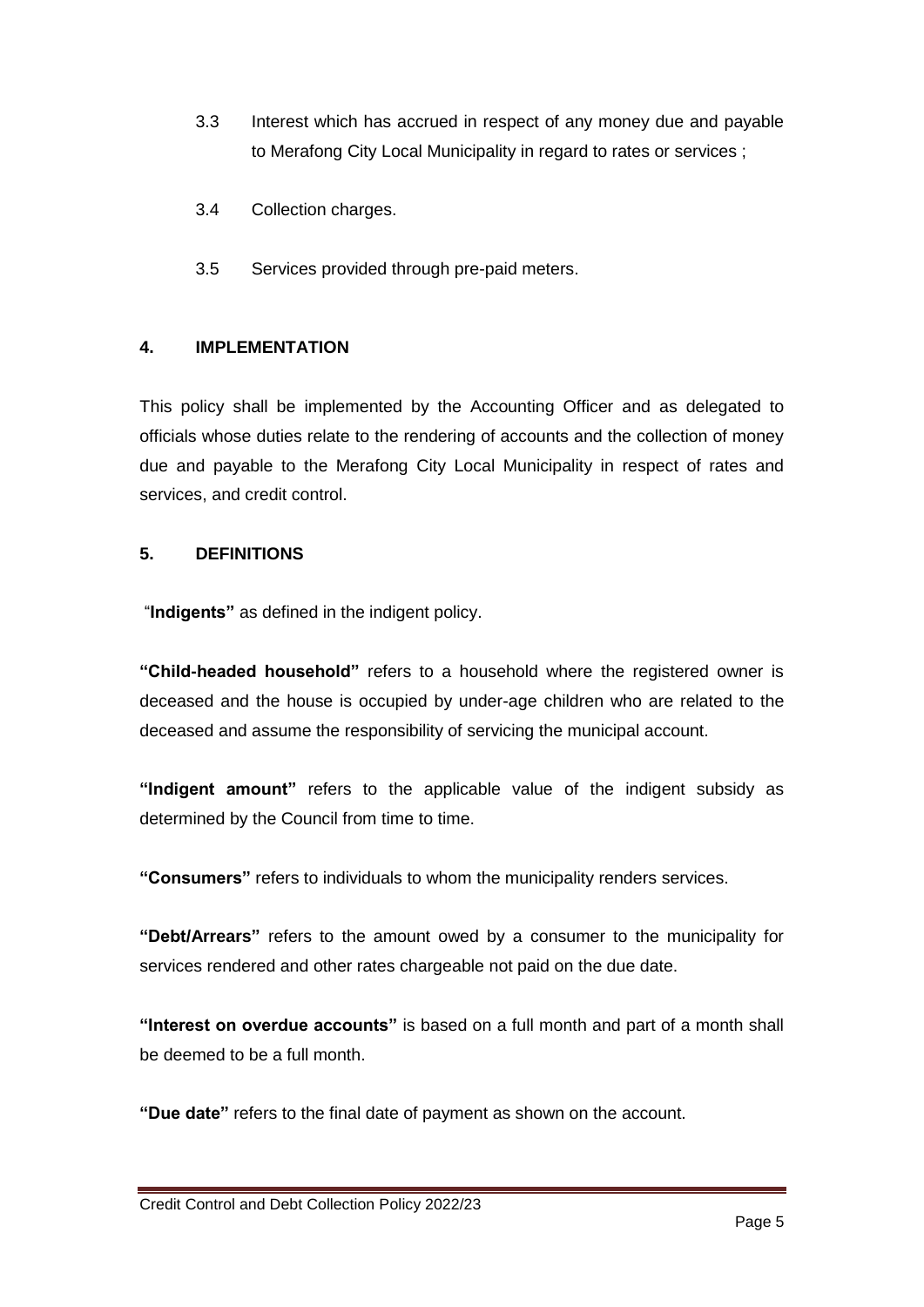- 3.3 Interest which has accrued in respect of any money due and payable to Merafong City Local Municipality in regard to rates or services ;
- 3.4 Collection charges.
- 3.5 Services provided through pre-paid meters.

#### **4. IMPLEMENTATION**

This policy shall be implemented by the Accounting Officer and as delegated to officials whose duties relate to the rendering of accounts and the collection of money due and payable to the Merafong City Local Municipality in respect of rates and services, and credit control.

#### **5. DEFINITIONS**

"**Indigents"** as defined in the indigent policy.

**"Child-headed household"** refers to a household where the registered owner is deceased and the house is occupied by under-age children who are related to the deceased and assume the responsibility of servicing the municipal account.

**"Indigent amount"** refers to the applicable value of the indigent subsidy as determined by the Council from time to time.

**"Consumers"** refers to individuals to whom the municipality renders services.

**"Debt/Arrears"** refers to the amount owed by a consumer to the municipality for services rendered and other rates chargeable not paid on the due date.

**"Interest on overdue accounts"** is based on a full month and part of a month shall be deemed to be a full month.

**"Due date"** refers to the final date of payment as shown on the account.

Credit Control and Debt Collection Policy 2022/23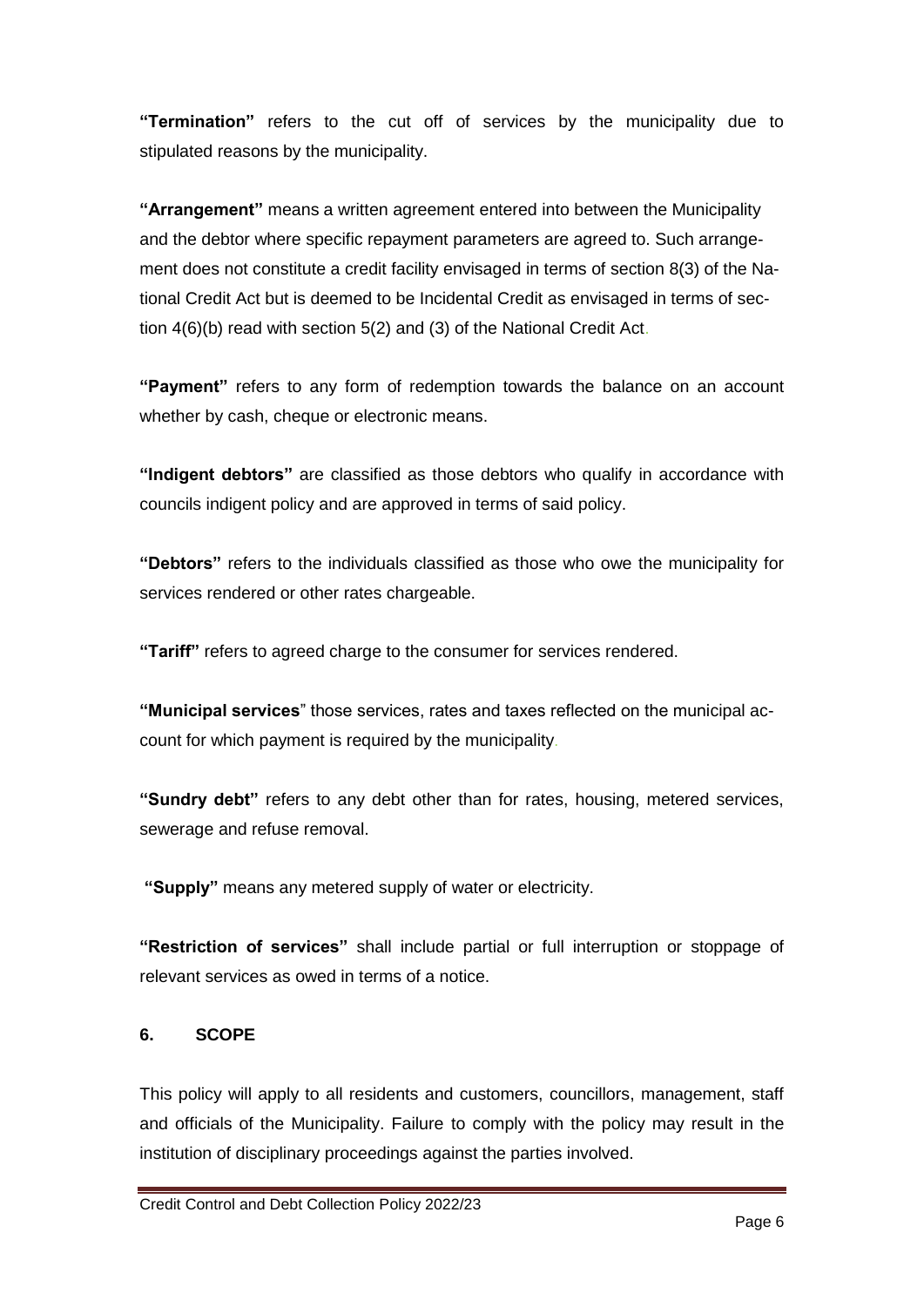**"Termination"** refers to the cut off of services by the municipality due to stipulated reasons by the municipality.

**"Arrangement"** means a written agreement entered into between the Municipality and the debtor where specific repayment parameters are agreed to. Such arrangement does not constitute a credit facility envisaged in terms of section 8(3) of the National Credit Act but is deemed to be Incidental Credit as envisaged in terms of section 4(6)(b) read with section 5(2) and (3) of the National Credit Act.

**"Payment"** refers to any form of redemption towards the balance on an account whether by cash, cheque or electronic means.

**"Indigent debtors"** are classified as those debtors who qualify in accordance with councils indigent policy and are approved in terms of said policy.

**"Debtors"** refers to the individuals classified as those who owe the municipality for services rendered or other rates chargeable.

**"Tariff"** refers to agreed charge to the consumer for services rendered.

**"Municipal services**" those services, rates and taxes reflected on the municipal account for which payment is required by the municipality.

**"Sundry debt"** refers to any debt other than for rates, housing, metered services, sewerage and refuse removal.

**"Supply"** means any metered supply of water or electricity.

**"Restriction of services"** shall include partial or full interruption or stoppage of relevant services as owed in terms of a notice.

#### **6. SCOPE**

This policy will apply to all residents and customers, councillors, management, staff and officials of the Municipality. Failure to comply with the policy may result in the institution of disciplinary proceedings against the parties involved.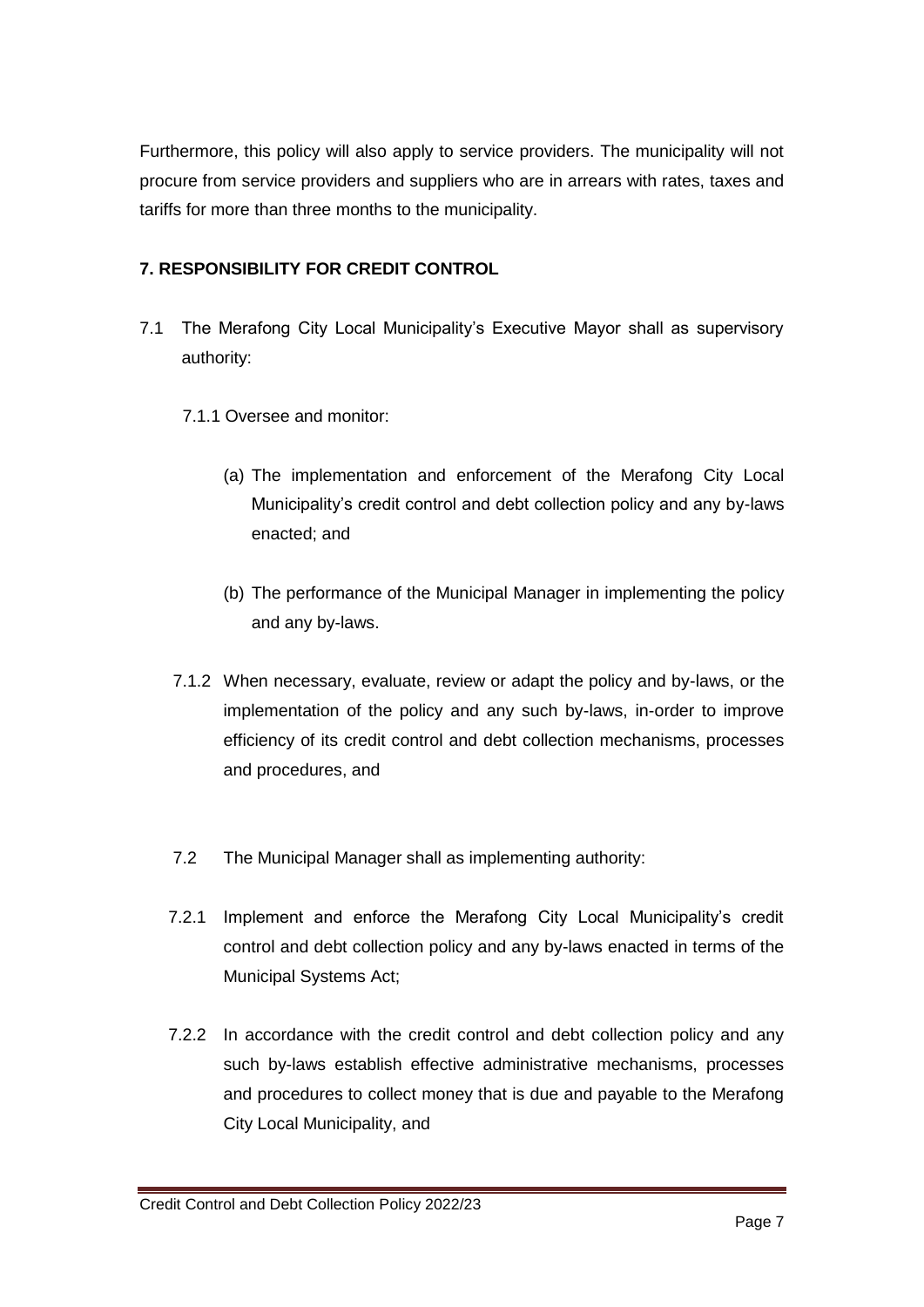Furthermore, this policy will also apply to service providers. The municipality will not procure from service providers and suppliers who are in arrears with rates, taxes and tariffs for more than three months to the municipality.

## **7. RESPONSIBILITY FOR CREDIT CONTROL**

- 7.1 The Merafong City Local Municipality's Executive Mayor shall as supervisory authority:
	- 7.1.1 Oversee and monitor:
		- (a) The implementation and enforcement of the Merafong City Local Municipality's credit control and debt collection policy and any by-laws enacted; and
		- (b) The performance of the Municipal Manager in implementing the policy and any by-laws.
	- 7.1.2 When necessary, evaluate, review or adapt the policy and by-laws, or the implementation of the policy and any such by-laws, in-order to improve efficiency of its credit control and debt collection mechanisms, processes and procedures, and
	- 7.2 The Municipal Manager shall as implementing authority:
	- 7.2.1 Implement and enforce the Merafong City Local Municipality's credit control and debt collection policy and any by-laws enacted in terms of the Municipal Systems Act;
	- 7.2.2 In accordance with the credit control and debt collection policy and any such by-laws establish effective administrative mechanisms, processes and procedures to collect money that is due and payable to the Merafong City Local Municipality, and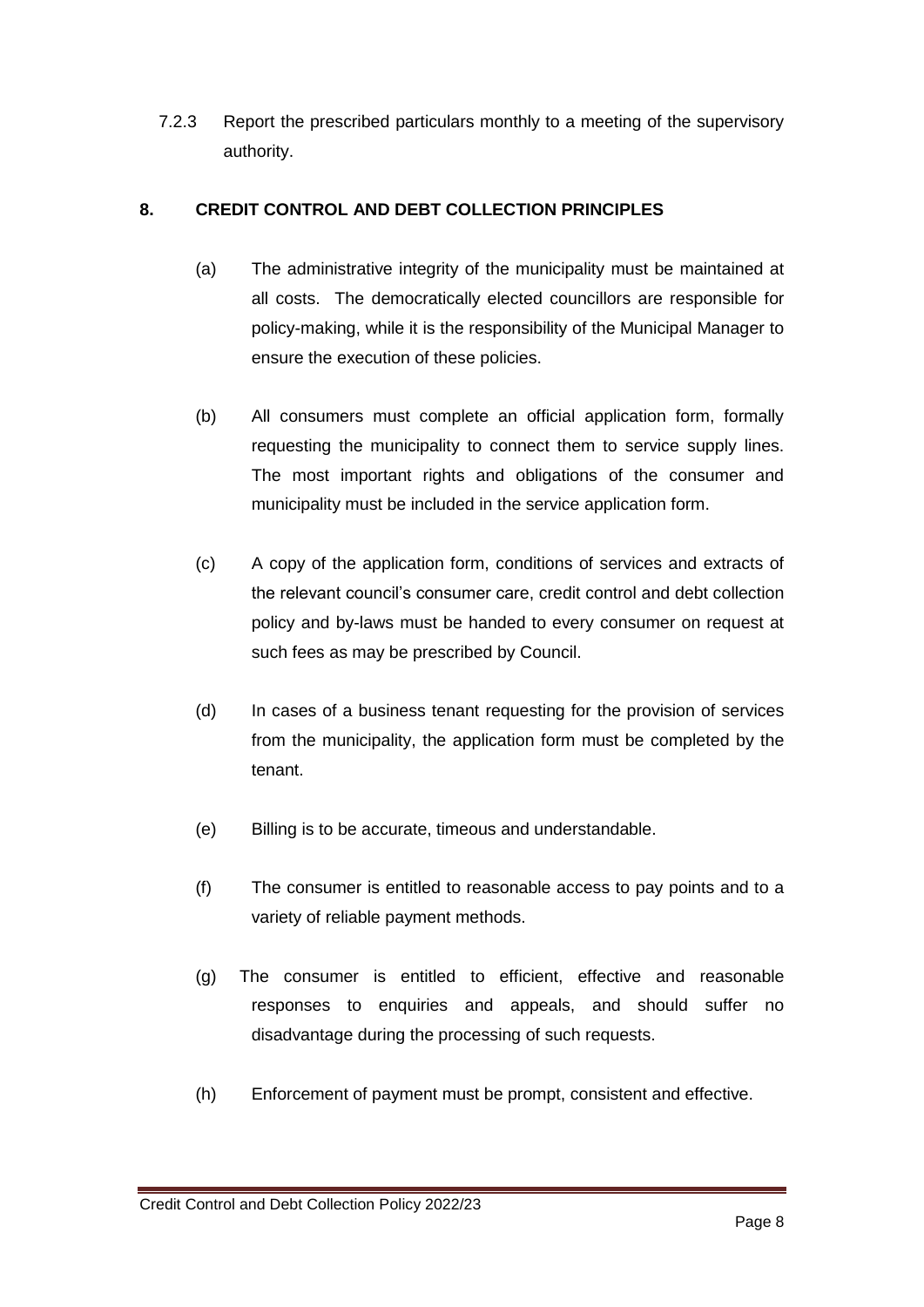7.2.3 Report the prescribed particulars monthly to a meeting of the supervisory authority.

## **8. CREDIT CONTROL AND DEBT COLLECTION PRINCIPLES**

- (a) The administrative integrity of the municipality must be maintained at all costs. The democratically elected councillors are responsible for policy-making, while it is the responsibility of the Municipal Manager to ensure the execution of these policies.
- (b) All consumers must complete an official application form, formally requesting the municipality to connect them to service supply lines. The most important rights and obligations of the consumer and municipality must be included in the service application form.
- (c) A copy of the application form, conditions of services and extracts of the relevant council's consumer care, credit control and debt collection policy and by-laws must be handed to every consumer on request at such fees as may be prescribed by Council.
- (d) In cases of a business tenant requesting for the provision of services from the municipality, the application form must be completed by the tenant.
- (e) Billing is to be accurate, timeous and understandable.
- (f) The consumer is entitled to reasonable access to pay points and to a variety of reliable payment methods.
- (g) The consumer is entitled to efficient, effective and reasonable responses to enquiries and appeals, and should suffer no disadvantage during the processing of such requests.
- (h) Enforcement of payment must be prompt, consistent and effective.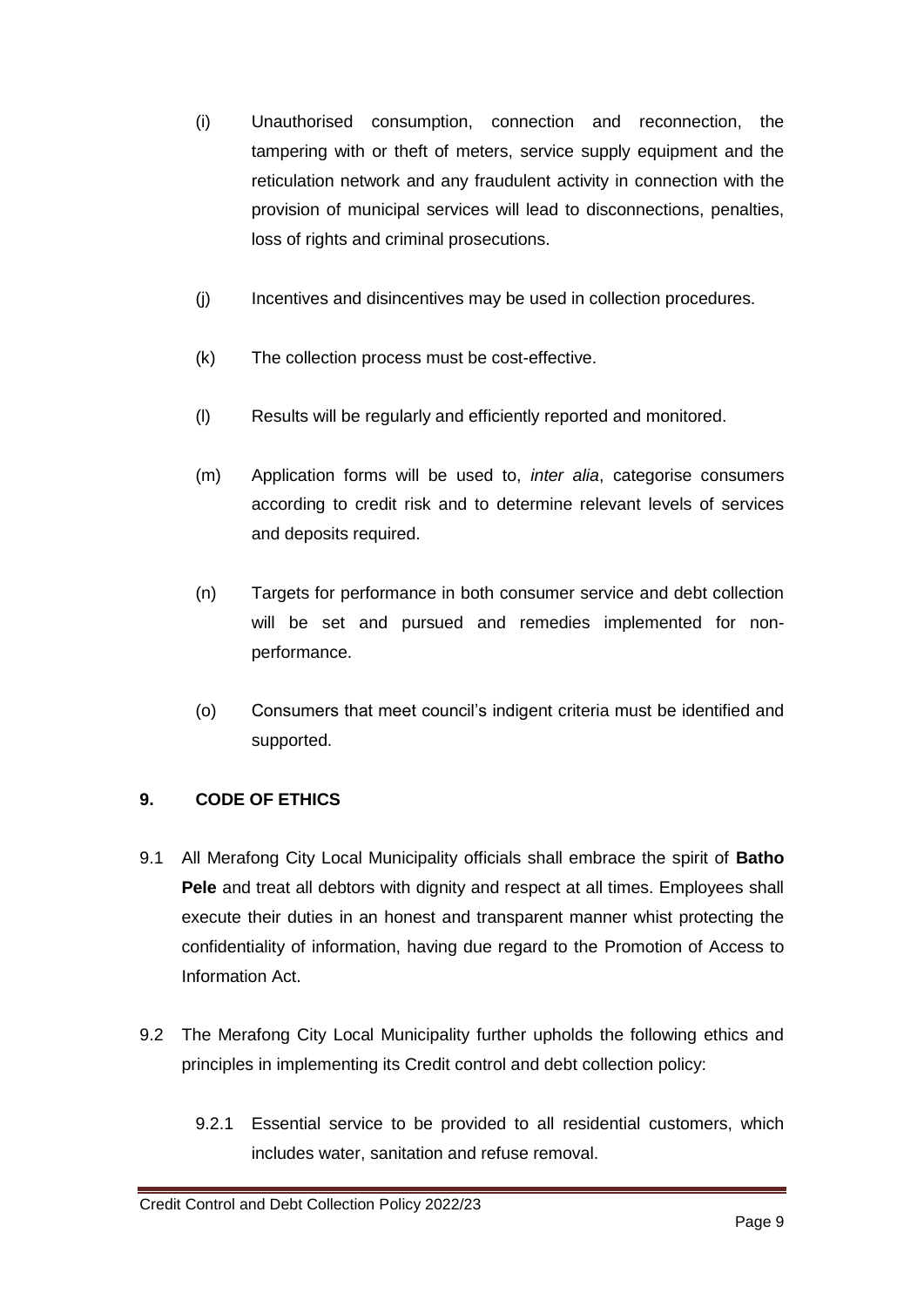- (i) Unauthorised consumption, connection and reconnection, the tampering with or theft of meters, service supply equipment and the reticulation network and any fraudulent activity in connection with the provision of municipal services will lead to disconnections, penalties, loss of rights and criminal prosecutions.
- (j) Incentives and disincentives may be used in collection procedures.
- (k) The collection process must be cost-effective.
- (l) Results will be regularly and efficiently reported and monitored.
- (m) Application forms will be used to, *inter alia*, categorise consumers according to credit risk and to determine relevant levels of services and deposits required.
- (n) Targets for performance in both consumer service and debt collection will be set and pursued and remedies implemented for nonperformance.
- (o) Consumers that meet council's indigent criteria must be identified and supported.

## **9. CODE OF ETHICS**

- 9.1 All Merafong City Local Municipality officials shall embrace the spirit of **Batho Pele** and treat all debtors with dignity and respect at all times. Employees shall execute their duties in an honest and transparent manner whist protecting the confidentiality of information, having due regard to the Promotion of Access to Information Act.
- 9.2 The Merafong City Local Municipality further upholds the following ethics and principles in implementing its Credit control and debt collection policy:
	- 9.2.1 Essential service to be provided to all residential customers, which includes water, sanitation and refuse removal.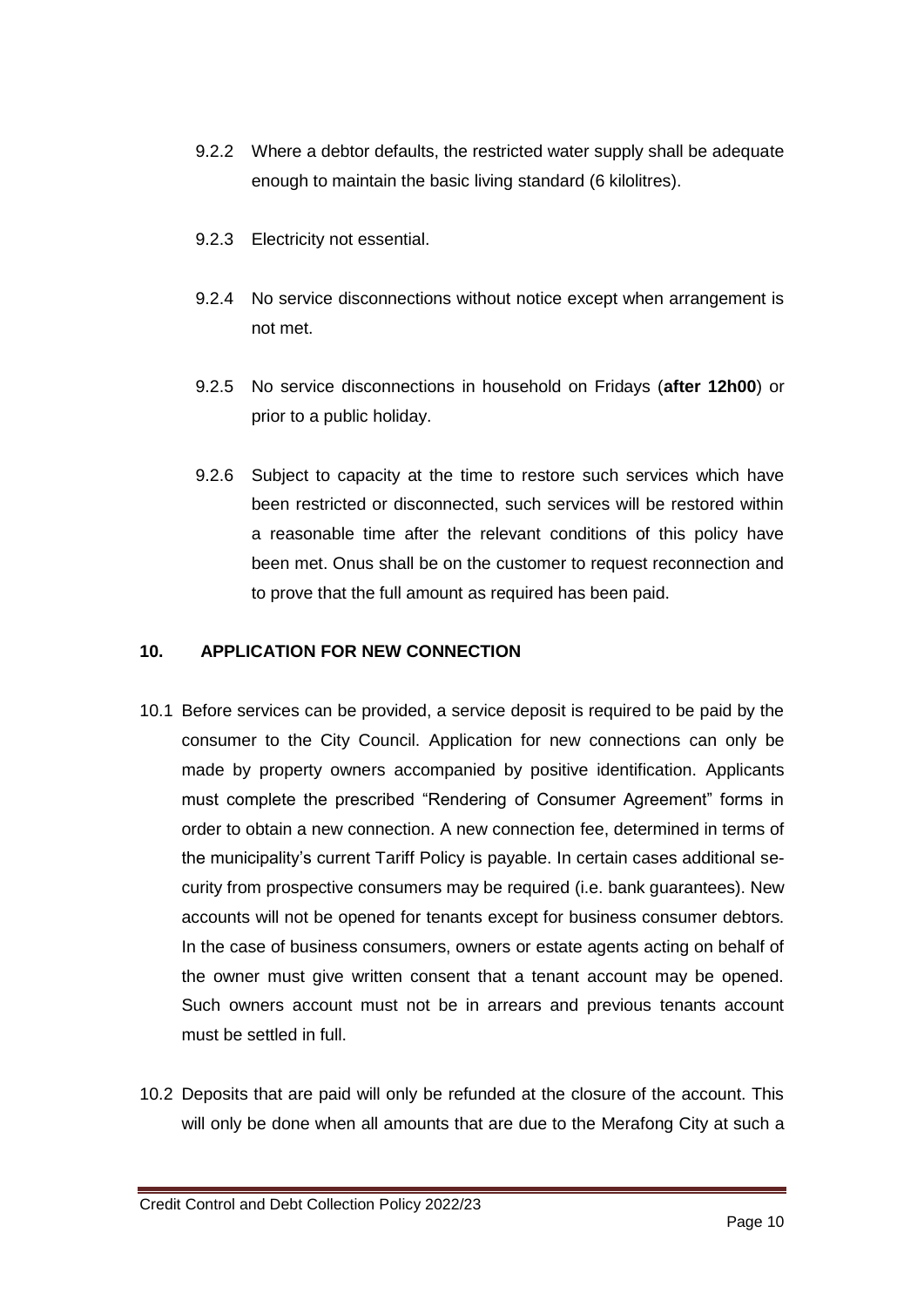- 9.2.2 Where a debtor defaults, the restricted water supply shall be adequate enough to maintain the basic living standard (6 kilolitres).
- 9.2.3 Electricity not essential.
- 9.2.4 No service disconnections without notice except when arrangement is not met.
- 9.2.5 No service disconnections in household on Fridays (**after 12h00**) or prior to a public holiday.
- 9.2.6 Subject to capacity at the time to restore such services which have been restricted or disconnected, such services will be restored within a reasonable time after the relevant conditions of this policy have been met. Onus shall be on the customer to request reconnection and to prove that the full amount as required has been paid.

#### **10. APPLICATION FOR NEW CONNECTION**

- 10.1 Before services can be provided, a service deposit is required to be paid by the consumer to the City Council. Application for new connections can only be made by property owners accompanied by positive identification. Applicants must complete the prescribed "Rendering of Consumer Agreement" forms in order to obtain a new connection. A new connection fee, determined in terms of the municipality's current Tariff Policy is payable. In certain cases additional security from prospective consumers may be required (i.e. bank guarantees). New accounts will not be opened for tenants except for business consumer debtors. In the case of business consumers, owners or estate agents acting on behalf of the owner must give written consent that a tenant account may be opened. Such owners account must not be in arrears and previous tenants account must be settled in full.
- 10.2 Deposits that are paid will only be refunded at the closure of the account. This will only be done when all amounts that are due to the Merafong City at such a

Credit Control and Debt Collection Policy 2022/23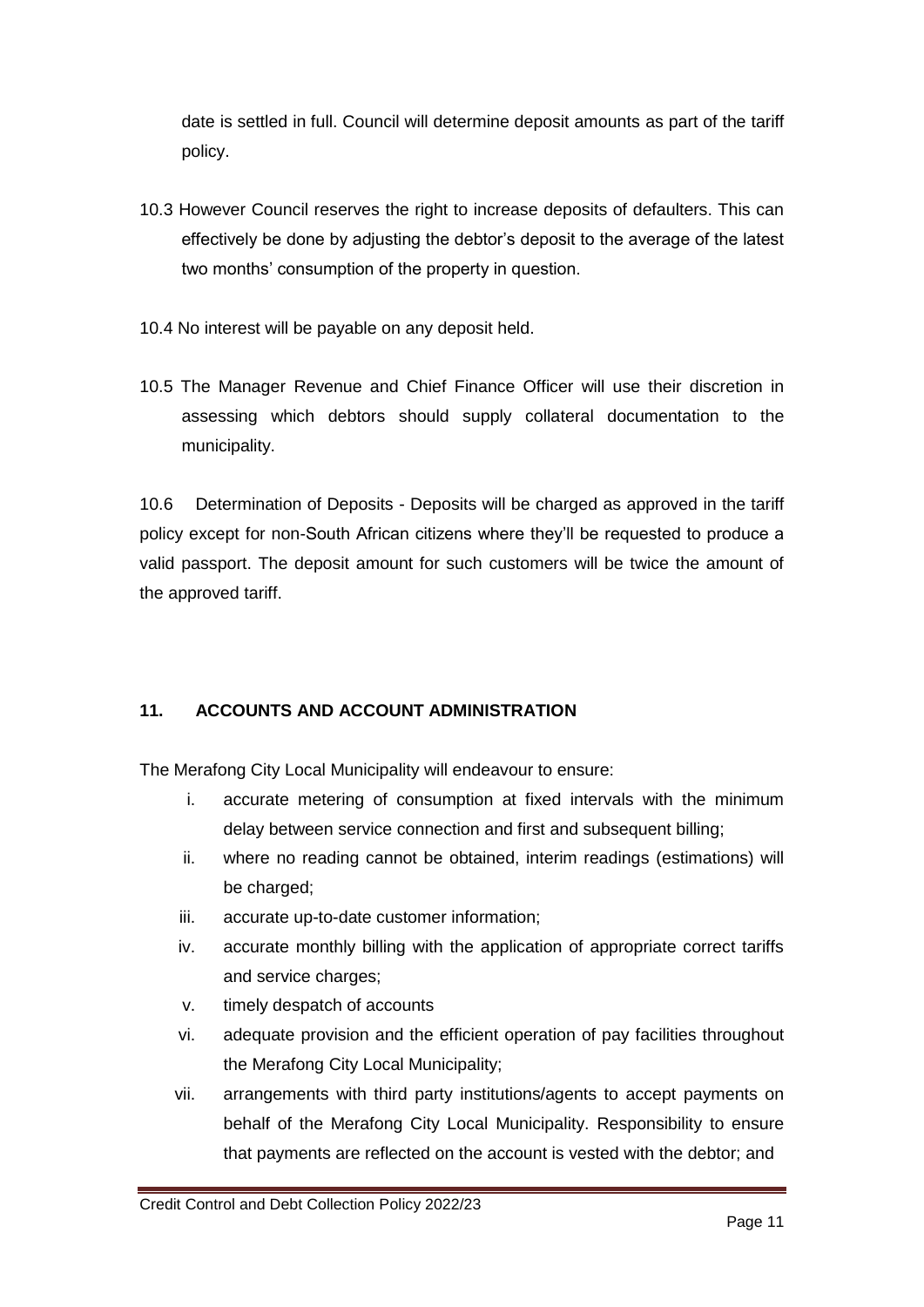date is settled in full. Council will determine deposit amounts as part of the tariff policy.

- 10.3 However Council reserves the right to increase deposits of defaulters. This can effectively be done by adjusting the debtor's deposit to the average of the latest two months' consumption of the property in question.
- 10.4 No interest will be payable on any deposit held.
- 10.5 The Manager Revenue and Chief Finance Officer will use their discretion in assessing which debtors should supply collateral documentation to the municipality.

10.6 Determination of Deposits - Deposits will be charged as approved in the tariff policy except for non-South African citizens where they'll be requested to produce a valid passport. The deposit amount for such customers will be twice the amount of the approved tariff.

## **11. ACCOUNTS AND ACCOUNT ADMINISTRATION**

The Merafong City Local Municipality will endeavour to ensure:

- i. accurate metering of consumption at fixed intervals with the minimum delay between service connection and first and subsequent billing;
- ii. where no reading cannot be obtained, interim readings (estimations) will be charged;
- iii. accurate up-to-date customer information;
- iv. accurate monthly billing with the application of appropriate correct tariffs and service charges;
- v. timely despatch of accounts
- vi. adequate provision and the efficient operation of pay facilities throughout the Merafong City Local Municipality;
- vii. arrangements with third party institutions/agents to accept payments on behalf of the Merafong City Local Municipality. Responsibility to ensure that payments are reflected on the account is vested with the debtor; and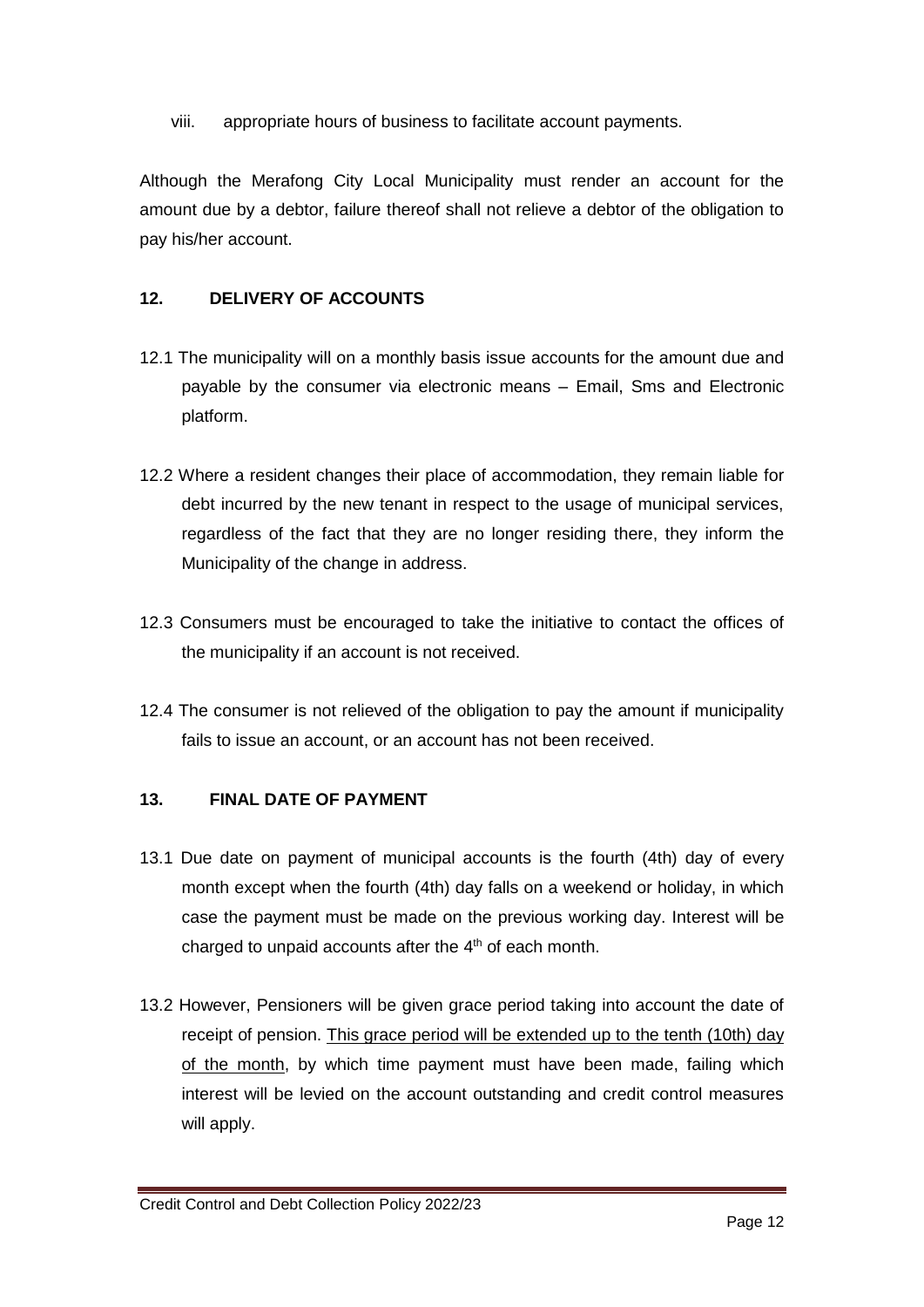viii. appropriate hours of business to facilitate account payments.

Although the Merafong City Local Municipality must render an account for the amount due by a debtor, failure thereof shall not relieve a debtor of the obligation to pay his/her account.

#### **12. DELIVERY OF ACCOUNTS**

- 12.1 The municipality will on a monthly basis issue accounts for the amount due and payable by the consumer via electronic means – Email, Sms and Electronic platform.
- 12.2 Where a resident changes their place of accommodation, they remain liable for debt incurred by the new tenant in respect to the usage of municipal services, regardless of the fact that they are no longer residing there, they inform the Municipality of the change in address.
- 12.3 Consumers must be encouraged to take the initiative to contact the offices of the municipality if an account is not received.
- 12.4 The consumer is not relieved of the obligation to pay the amount if municipality fails to issue an account, or an account has not been received.

#### **13. FINAL DATE OF PAYMENT**

- 13.1 Due date on payment of municipal accounts is the fourth (4th) day of every month except when the fourth (4th) day falls on a weekend or holiday, in which case the payment must be made on the previous working day. Interest will be charged to unpaid accounts after the  $4<sup>th</sup>$  of each month.
- 13.2 However, Pensioners will be given grace period taking into account the date of receipt of pension. This grace period will be extended up to the tenth (10th) day of the month, by which time payment must have been made, failing which interest will be levied on the account outstanding and credit control measures will apply.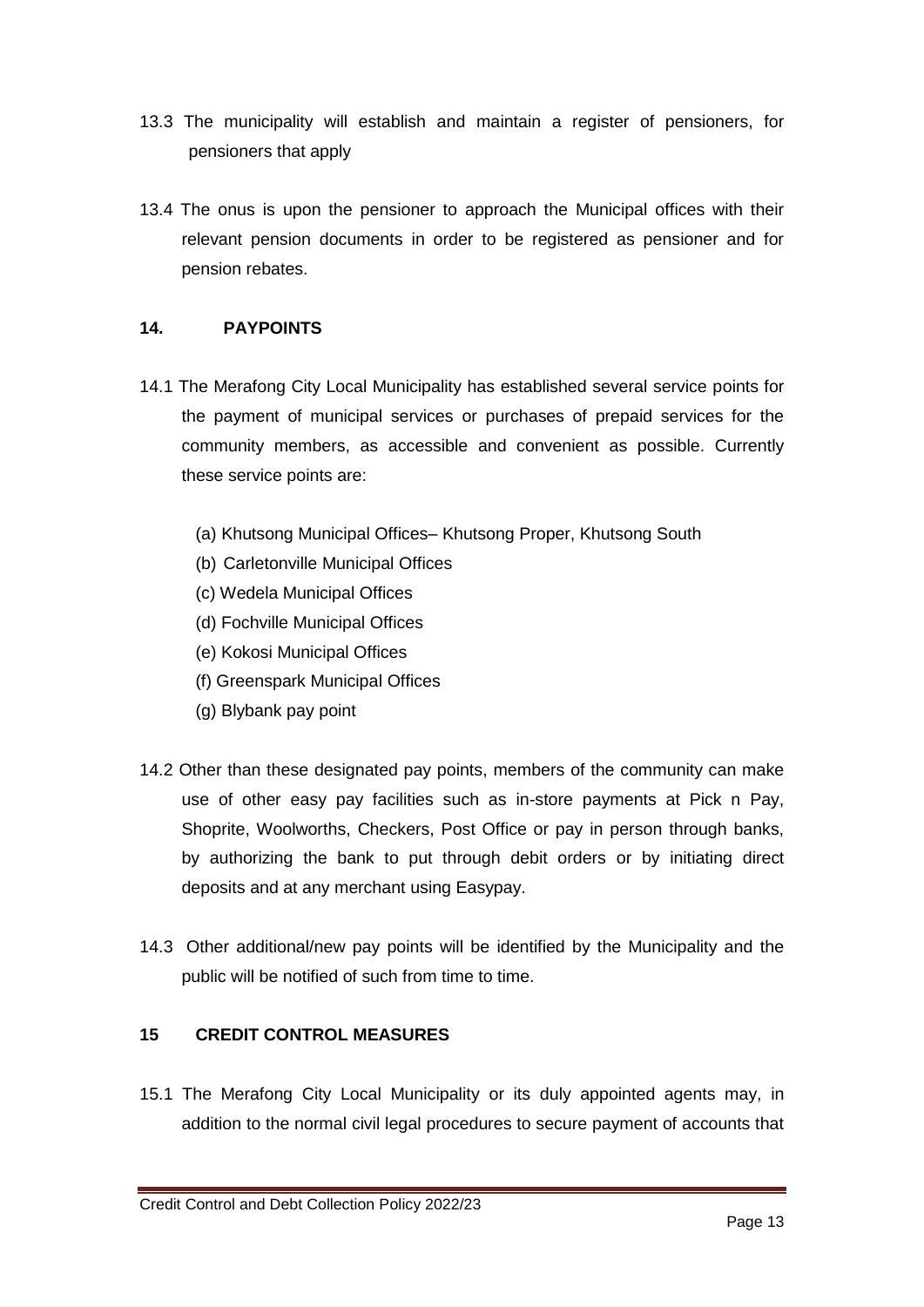- 13.3 The municipality will establish and maintain a register of pensioners, for pensioners that apply
- 13.4 The onus is upon the pensioner to approach the Municipal offices with their relevant pension documents in order to be registered as pensioner and for pension rebates.

#### **14. PAYPOINTS**

- 14.1 The Merafong City Local Municipality has established several service points for the payment of municipal services or purchases of prepaid services for the community members, as accessible and convenient as possible. Currently these service points are:
	- (a) Khutsong Municipal Offices– Khutsong Proper, Khutsong South
	- (b) Carletonville Municipal Offices
	- (c) Wedela Municipal Offices
	- (d) Fochville Municipal Offices
	- (e) Kokosi Municipal Offices
	- (f) Greenspark Municipal Offices
	- (g) Blybank pay point
- 14.2 Other than these designated pay points, members of the community can make use of other easy pay facilities such as in-store payments at Pick n Pay, Shoprite, Woolworths, Checkers, Post Office or pay in person through banks, by authorizing the bank to put through debit orders or by initiating direct deposits and at any merchant using Easypay.
- 14.3 Other additional/new pay points will be identified by the Municipality and the public will be notified of such from time to time.

## **15 CREDIT CONTROL MEASURES**

15.1 The Merafong City Local Municipality or its duly appointed agents may, in addition to the normal civil legal procedures to secure payment of accounts that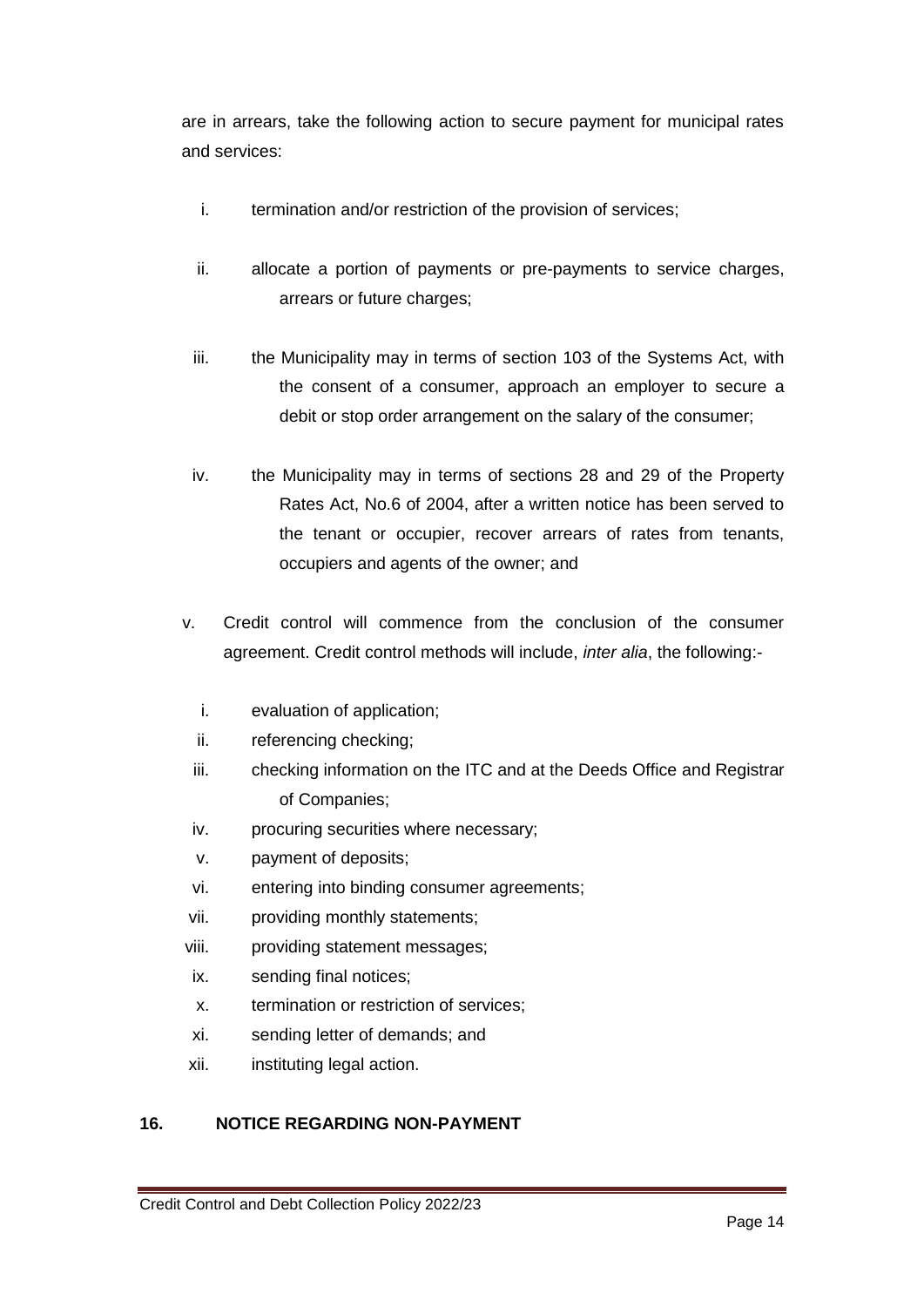are in arrears, take the following action to secure payment for municipal rates and services:

- i. termination and/or restriction of the provision of services;
- ii. allocate a portion of payments or pre-payments to service charges, arrears or future charges;
- iii. the Municipality may in terms of section 103 of the Systems Act, with the consent of a consumer, approach an employer to secure a debit or stop order arrangement on the salary of the consumer;
- iv. the Municipality may in terms of sections 28 and 29 of the Property Rates Act, No.6 of 2004, after a written notice has been served to the tenant or occupier, recover arrears of rates from tenants, occupiers and agents of the owner; and
- v. Credit control will commence from the conclusion of the consumer agreement. Credit control methods will include, *inter alia*, the following:
	- i. evaluation of application;
	- ii. referencing checking;
	- iii. checking information on the ITC and at the Deeds Office and Registrar of Companies;
	- iv. procuring securities where necessary;
	- v. payment of deposits;
	- vi. entering into binding consumer agreements;
- vii. providing monthly statements;
- viii. providing statement messages;
- ix. sending final notices;
- x. termination or restriction of services;
- xi. sending letter of demands; and
- xii. instituting legal action.

## **16. NOTICE REGARDING NON-PAYMENT**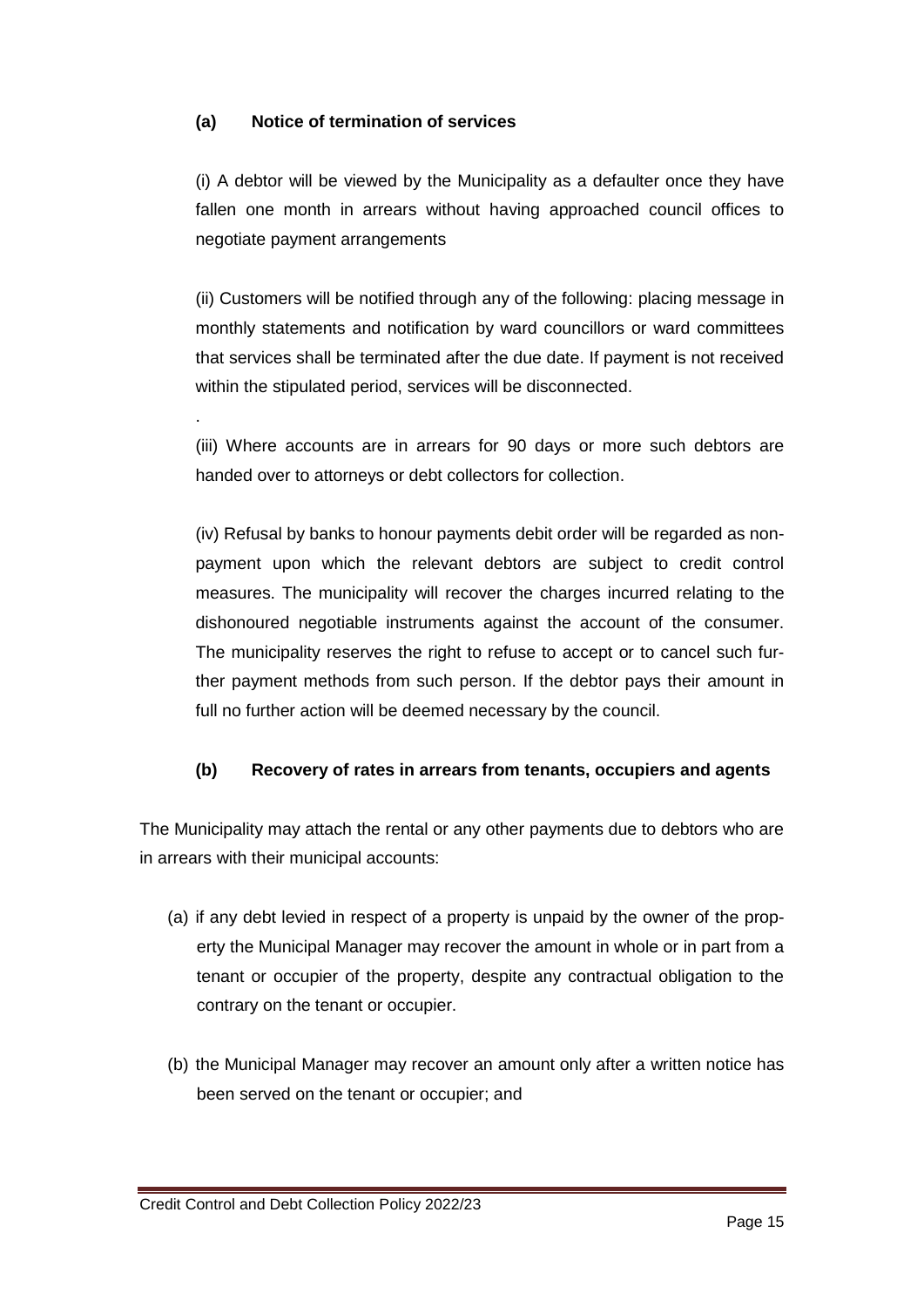#### **(a) Notice of termination of services**

.

(i) A debtor will be viewed by the Municipality as a defaulter once they have fallen one month in arrears without having approached council offices to negotiate payment arrangements

(ii) Customers will be notified through any of the following: placing message in monthly statements and notification by ward councillors or ward committees that services shall be terminated after the due date. If payment is not received within the stipulated period, services will be disconnected.

(iii) Where accounts are in arrears for 90 days or more such debtors are handed over to attorneys or debt collectors for collection.

(iv) Refusal by banks to honour payments debit order will be regarded as nonpayment upon which the relevant debtors are subject to credit control measures. The municipality will recover the charges incurred relating to the dishonoured negotiable instruments against the account of the consumer. The municipality reserves the right to refuse to accept or to cancel such further payment methods from such person. If the debtor pays their amount in full no further action will be deemed necessary by the council.

#### **(b) Recovery of rates in arrears from tenants, occupiers and agents**

The Municipality may attach the rental or any other payments due to debtors who are in arrears with their municipal accounts:

- (a) if any debt levied in respect of a property is unpaid by the owner of the property the Municipal Manager may recover the amount in whole or in part from a tenant or occupier of the property, despite any contractual obligation to the contrary on the tenant or occupier.
- (b) the Municipal Manager may recover an amount only after a written notice has been served on the tenant or occupier; and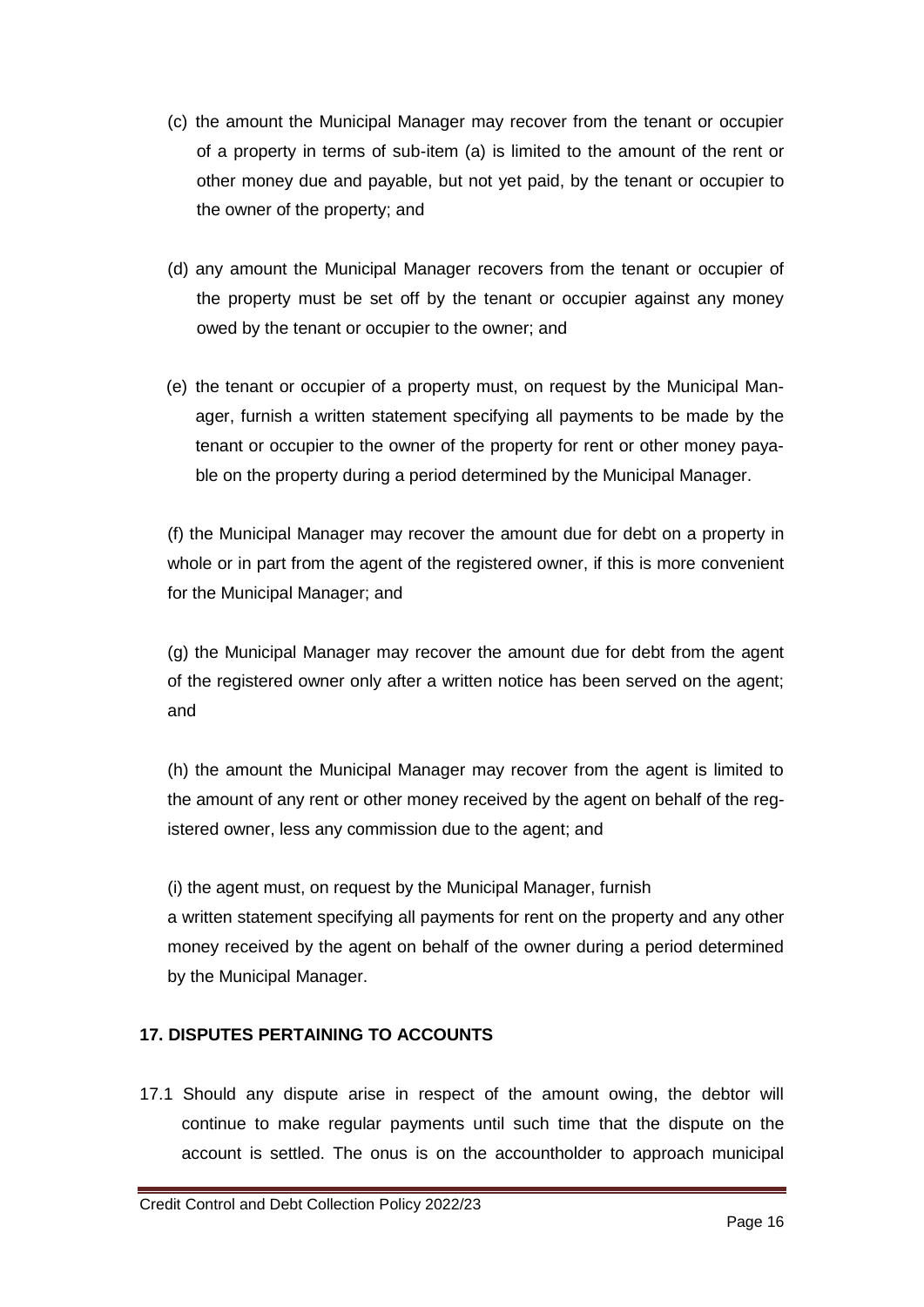- (c) the amount the Municipal Manager may recover from the tenant or occupier of a property in terms of sub-item (a) is limited to the amount of the rent or other money due and payable, but not yet paid, by the tenant or occupier to the owner of the property; and
- (d) any amount the Municipal Manager recovers from the tenant or occupier of the property must be set off by the tenant or occupier against any money owed by the tenant or occupier to the owner; and
- (e) the tenant or occupier of a property must, on request by the Municipal Manager, furnish a written statement specifying all payments to be made by the tenant or occupier to the owner of the property for rent or other money payable on the property during a period determined by the Municipal Manager.

(f) the Municipal Manager may recover the amount due for debt on a property in whole or in part from the agent of the registered owner, if this is more convenient for the Municipal Manager; and

(g) the Municipal Manager may recover the amount due for debt from the agent of the registered owner only after a written notice has been served on the agent; and

(h) the amount the Municipal Manager may recover from the agent is limited to the amount of any rent or other money received by the agent on behalf of the registered owner, less any commission due to the agent; and

(i) the agent must, on request by the Municipal Manager, furnish a written statement specifying all payments for rent on the property and any other money received by the agent on behalf of the owner during a period determined by the Municipal Manager.

#### **17. DISPUTES PERTAINING TO ACCOUNTS**

17.1 Should any dispute arise in respect of the amount owing, the debtor will continue to make regular payments until such time that the dispute on the account is settled. The onus is on the accountholder to approach municipal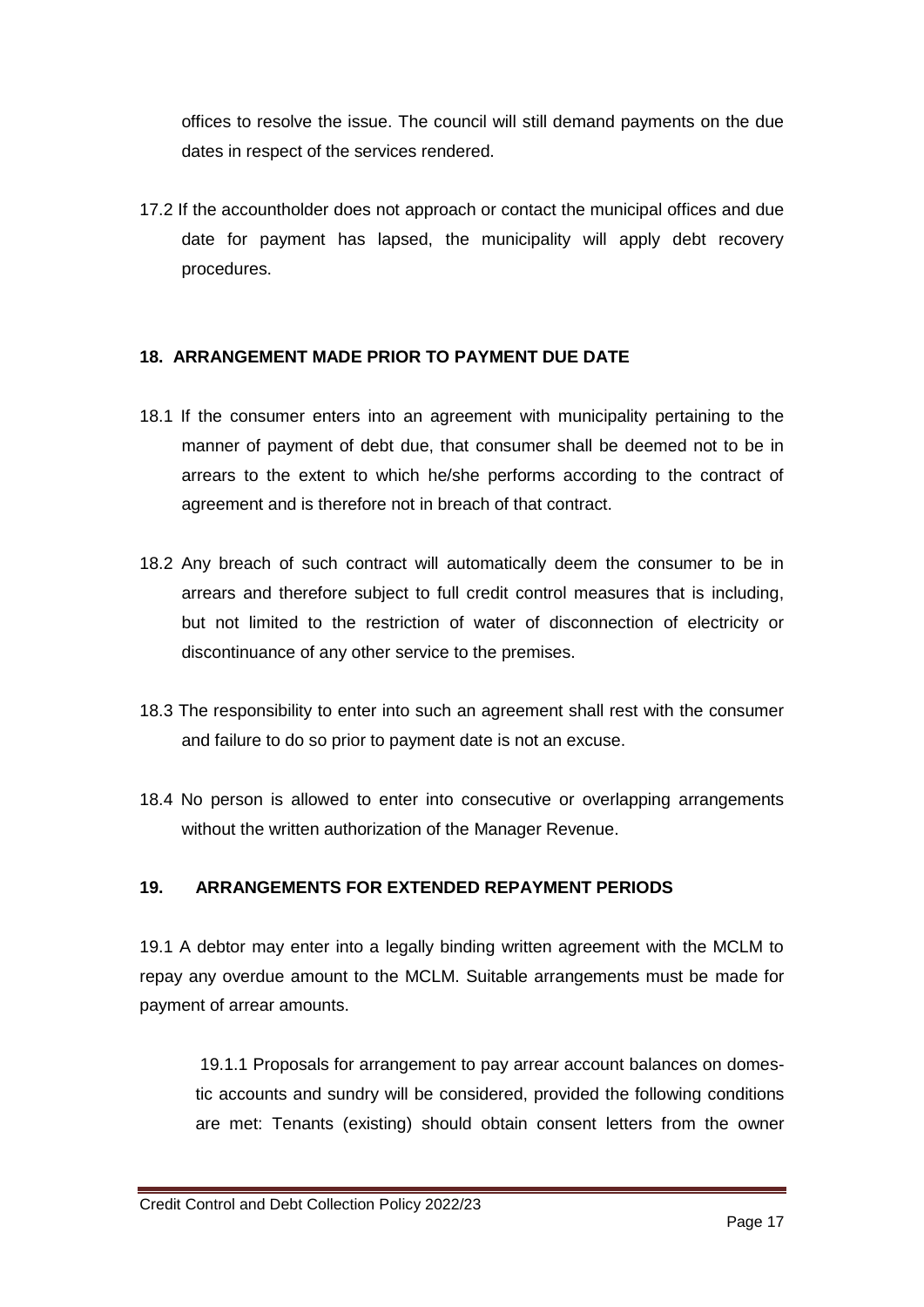offices to resolve the issue. The council will still demand payments on the due dates in respect of the services rendered.

17.2 If the accountholder does not approach or contact the municipal offices and due date for payment has lapsed, the municipality will apply debt recovery procedures.

#### **18. ARRANGEMENT MADE PRIOR TO PAYMENT DUE DATE**

- 18.1 If the consumer enters into an agreement with municipality pertaining to the manner of payment of debt due, that consumer shall be deemed not to be in arrears to the extent to which he/she performs according to the contract of agreement and is therefore not in breach of that contract.
- 18.2 Any breach of such contract will automatically deem the consumer to be in arrears and therefore subject to full credit control measures that is including, but not limited to the restriction of water of disconnection of electricity or discontinuance of any other service to the premises.
- 18.3 The responsibility to enter into such an agreement shall rest with the consumer and failure to do so prior to payment date is not an excuse.
- 18.4 No person is allowed to enter into consecutive or overlapping arrangements without the written authorization of the Manager Revenue.

#### **19. ARRANGEMENTS FOR EXTENDED REPAYMENT PERIODS**

19.1 A debtor may enter into a legally binding written agreement with the MCLM to repay any overdue amount to the MCLM. Suitable arrangements must be made for payment of arrear amounts.

19.1.1 Proposals for arrangement to pay arrear account balances on domestic accounts and sundry will be considered, provided the following conditions are met: Tenants (existing) should obtain consent letters from the owner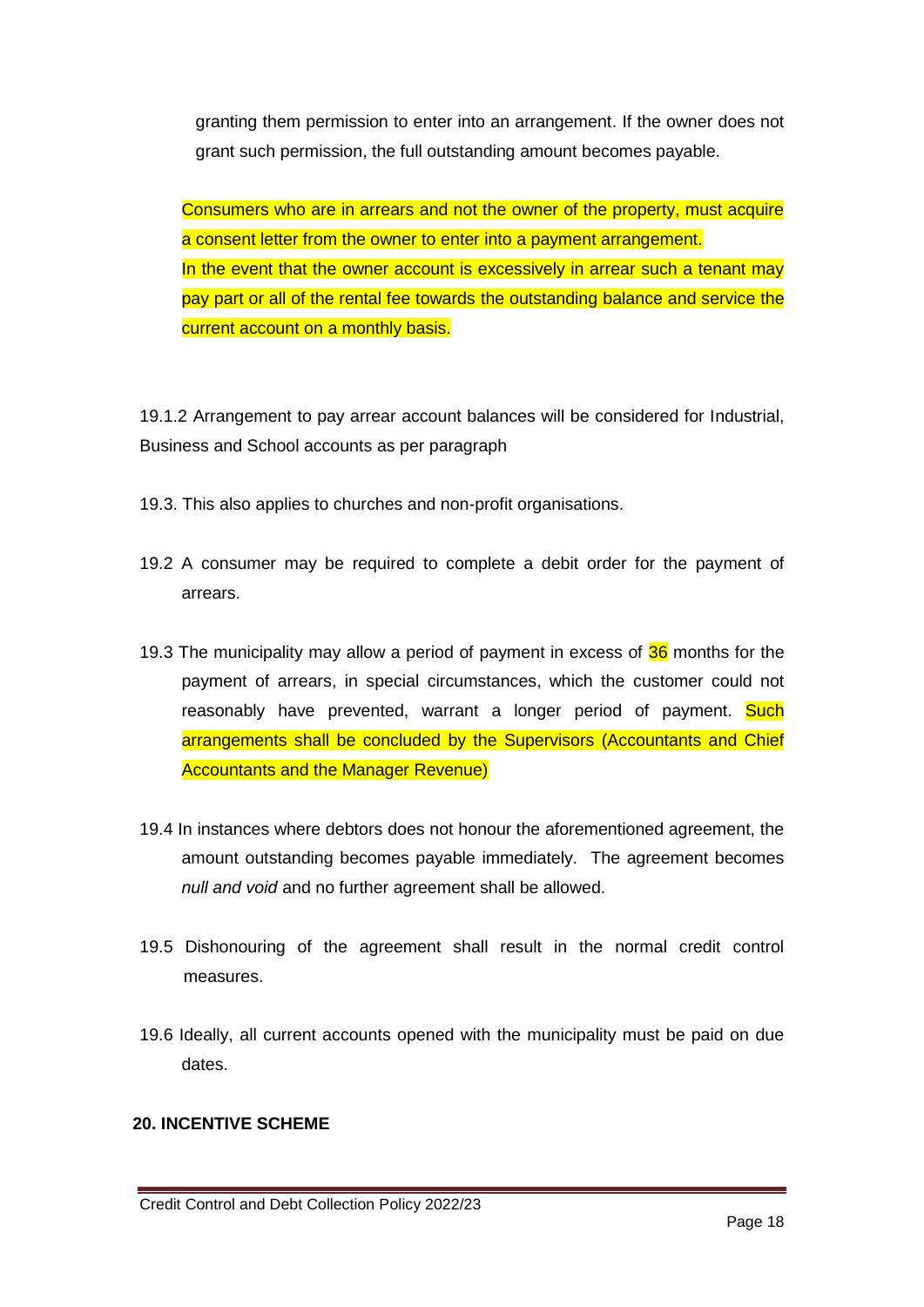granting them permission to enter into an arrangement. If the owner does not grant such permission, the full outstanding amount becomes payable.

Consumers who are in arrears and not the owner of the property, must acquire a consent letter from the owner to enter into a payment arrangement. In the event that the owner account is excessively in arrear such a tenant may pay part or all of the rental fee towards the outstanding balance and service the current account on a monthly basis.

19.1.2 Arrangement to pay arrear account balances will be considered for Industrial, Business and School accounts as per paragraph

- 19.3. This also applies to churches and non-profit organisations.
- 19.2 A consumer may be required to complete a debit order for the payment of arrears.
- 19.3 The municipality may allow a period of payment in excess of  $36$  months for the payment of arrears, in special circumstances, which the customer could not reasonably have prevented, warrant a longer period of payment. Such arrangements shall be concluded by the Supervisors (Accountants and Chief Accountants and the Manager Revenue)
- 19.4 In instances where debtors does not honour the aforementioned agreement, the amount outstanding becomes payable immediately. The agreement becomes *null and void* and no further agreement shall be allowed.
- 19.5 Dishonouring of the agreement shall result in the normal credit control measures.
- 19.6 Ideally, all current accounts opened with the municipality must be paid on due dates.

#### **20. INCENTIVE SCHEME**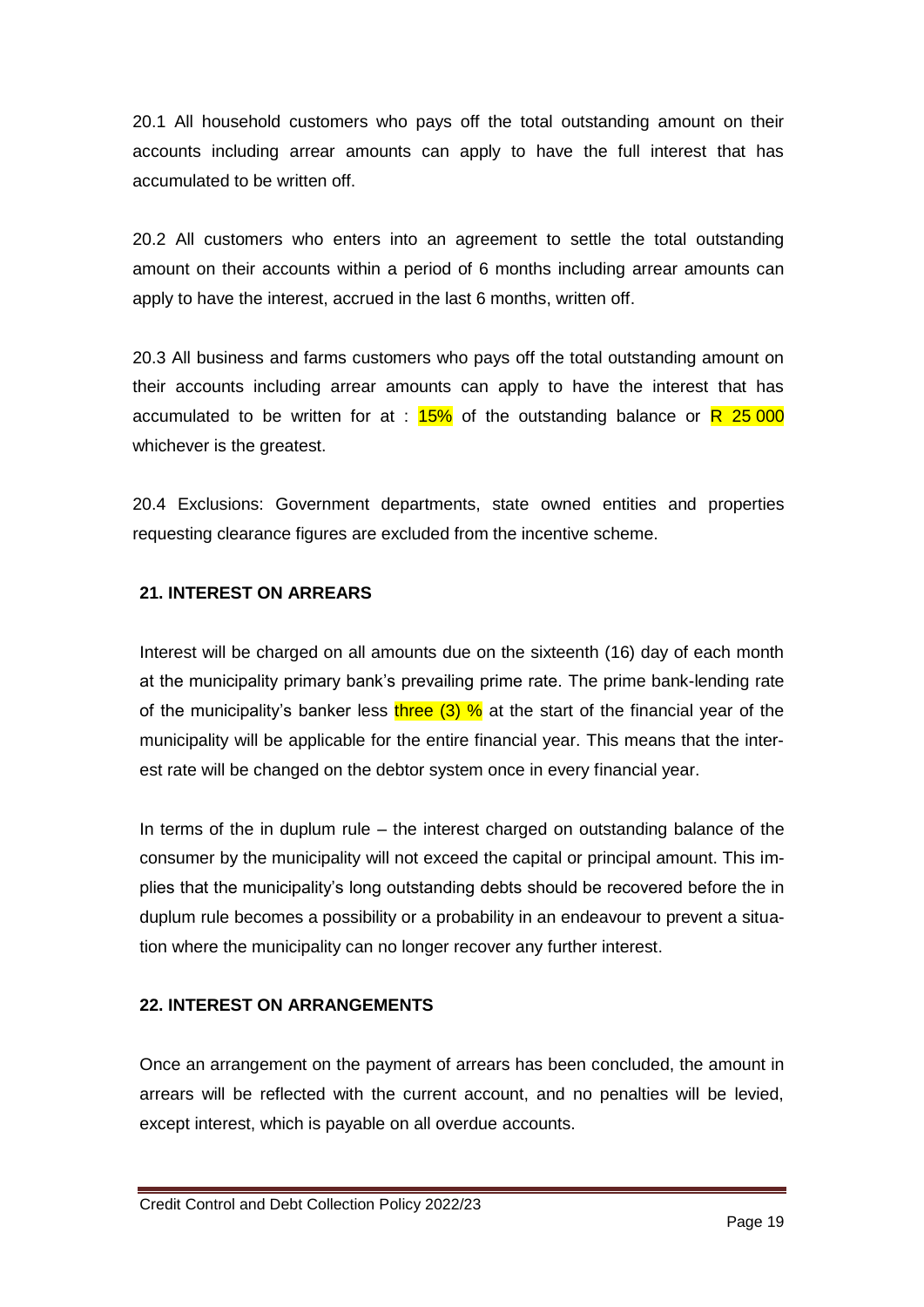20.1 All household customers who pays off the total outstanding amount on their accounts including arrear amounts can apply to have the full interest that has accumulated to be written off.

20.2 All customers who enters into an agreement to settle the total outstanding amount on their accounts within a period of 6 months including arrear amounts can apply to have the interest, accrued in the last 6 months, written off.

20.3 All business and farms customers who pays off the total outstanding amount on their accounts including arrear amounts can apply to have the interest that has accumulated to be written for at :  $15\%$  of the outstanding balance or R 25 000 whichever is the greatest.

20.4 Exclusions: Government departments, state owned entities and properties requesting clearance figures are excluded from the incentive scheme.

#### **21. INTEREST ON ARREARS**

Interest will be charged on all amounts due on the sixteenth (16) day of each month at the municipality primary bank's prevailing prime rate. The prime bank-lending rate of the municipality's banker less three  $(3)$  % at the start of the financial year of the municipality will be applicable for the entire financial year. This means that the interest rate will be changed on the debtor system once in every financial year.

In terms of the in duplum rule – the interest charged on outstanding balance of the consumer by the municipality will not exceed the capital or principal amount. This implies that the municipality's long outstanding debts should be recovered before the in duplum rule becomes a possibility or a probability in an endeavour to prevent a situation where the municipality can no longer recover any further interest.

#### **22. INTEREST ON ARRANGEMENTS**

Once an arrangement on the payment of arrears has been concluded, the amount in arrears will be reflected with the current account, and no penalties will be levied, except interest, which is payable on all overdue accounts.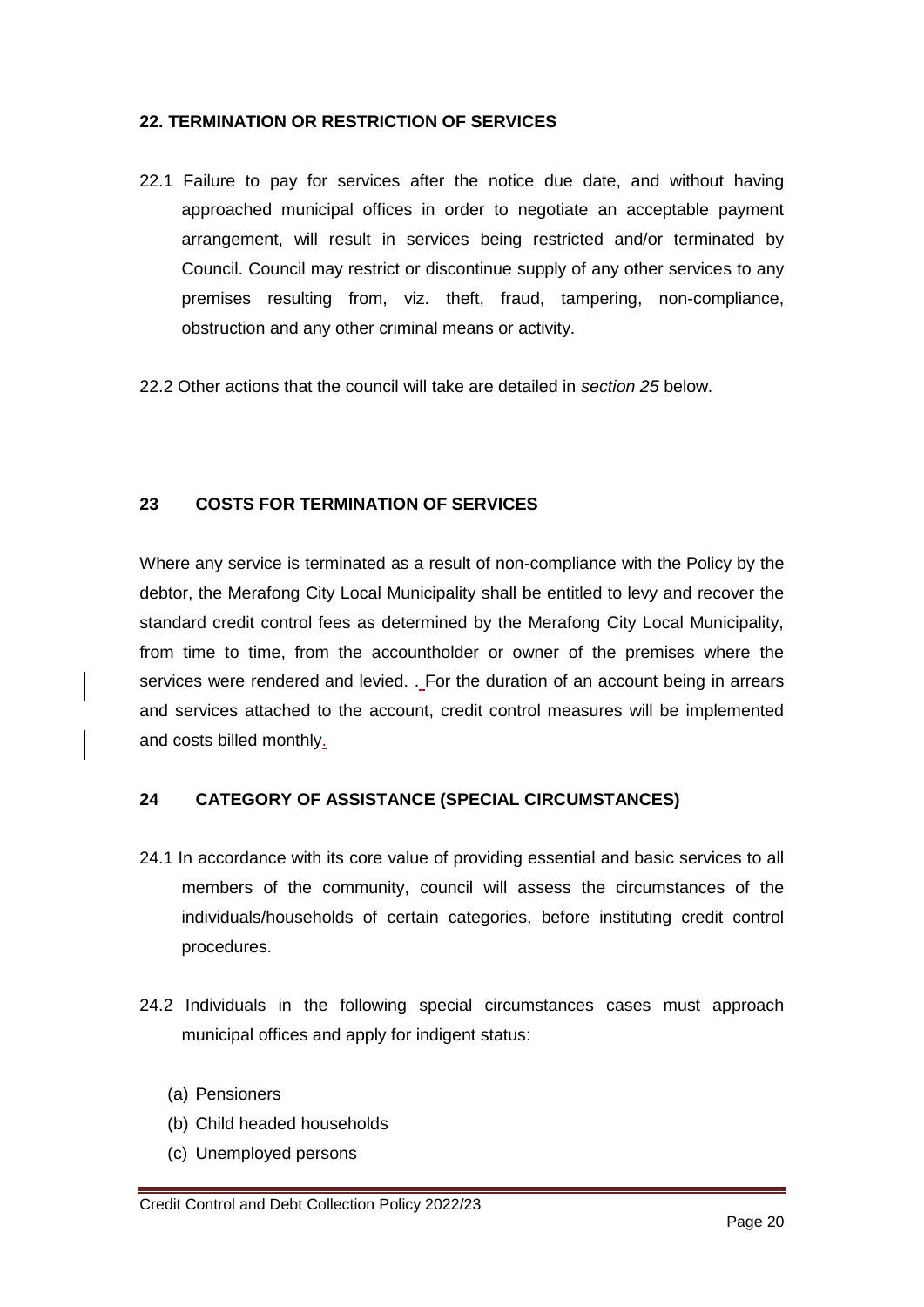#### **22. TERMINATION OR RESTRICTION OF SERVICES**

- 22.1 Failure to pay for services after the notice due date, and without having approached municipal offices in order to negotiate an acceptable payment arrangement, will result in services being restricted and/or terminated by Council. Council may restrict or discontinue supply of any other services to any premises resulting from, viz. theft, fraud, tampering, non-compliance, obstruction and any other criminal means or activity.
- 22.2 Other actions that the council will take are detailed in *section 25* below.

#### **23 COSTS FOR TERMINATION OF SERVICES**

Where any service is terminated as a result of non-compliance with the Policy by the debtor, the Merafong City Local Municipality shall be entitled to levy and recover the standard credit control fees as determined by the Merafong City Local Municipality, from time to time, from the accountholder or owner of the premises where the services were rendered and levied. . For the duration of an account being in arrears and services attached to the account, credit control measures will be implemented and costs billed monthly.

#### **24 CATEGORY OF ASSISTANCE (SPECIAL CIRCUMSTANCES)**

- 24.1 In accordance with its core value of providing essential and basic services to all members of the community, council will assess the circumstances of the individuals/households of certain categories, before instituting credit control procedures.
- 24.2 Individuals in the following special circumstances cases must approach municipal offices and apply for indigent status:
	- (a) Pensioners
	- (b) Child headed households
	- (c) Unemployed persons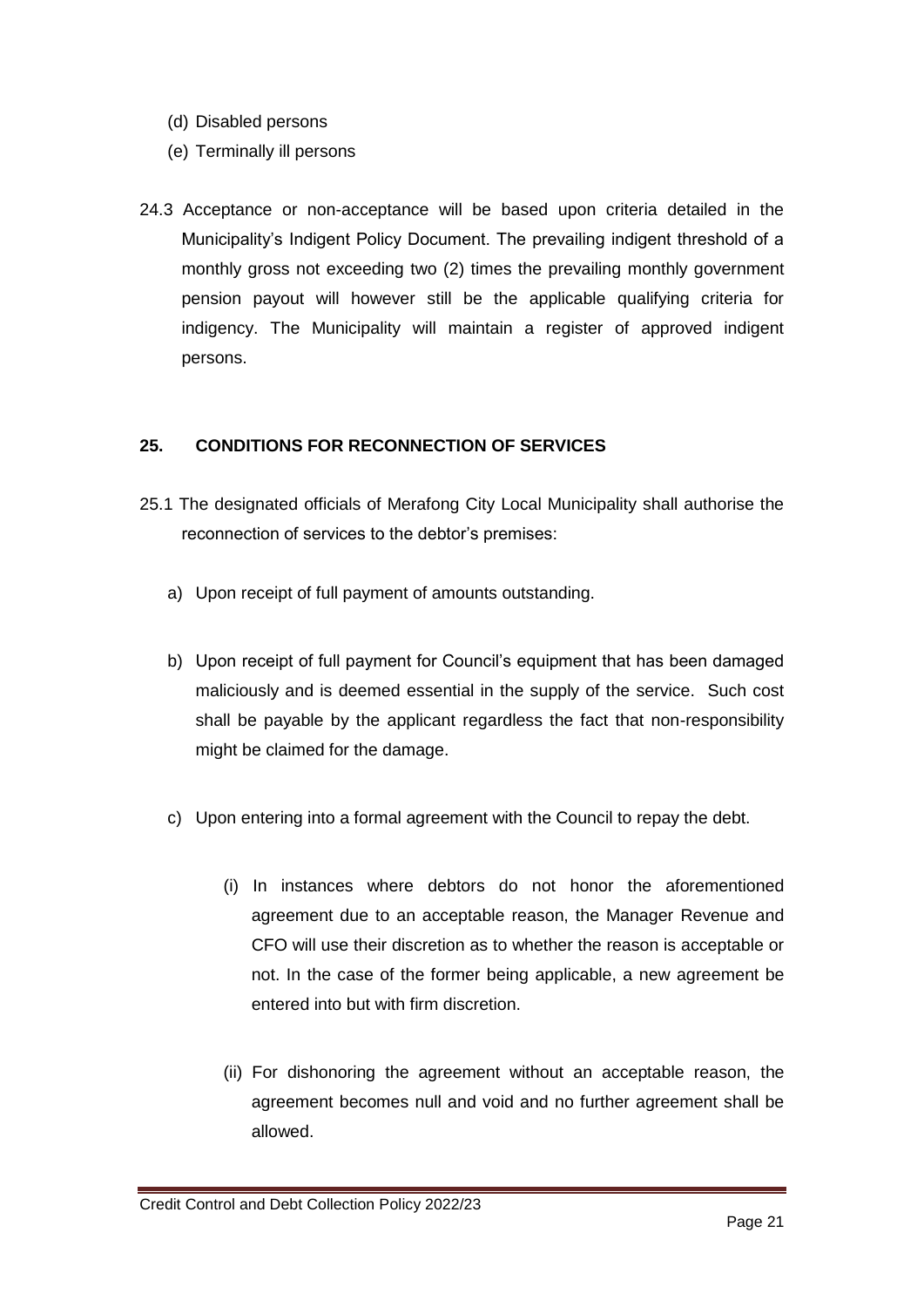- (d) Disabled persons
- (e) Terminally ill persons
- 24.3 Acceptance or non-acceptance will be based upon criteria detailed in the Municipality's Indigent Policy Document. The prevailing indigent threshold of a monthly gross not exceeding two (2) times the prevailing monthly government pension payout will however still be the applicable qualifying criteria for indigency. The Municipality will maintain a register of approved indigent persons.

#### **25. CONDITIONS FOR RECONNECTION OF SERVICES**

- 25.1 The designated officials of Merafong City Local Municipality shall authorise the reconnection of services to the debtor's premises:
	- a) Upon receipt of full payment of amounts outstanding.
	- b) Upon receipt of full payment for Council's equipment that has been damaged maliciously and is deemed essential in the supply of the service. Such cost shall be payable by the applicant regardless the fact that non-responsibility might be claimed for the damage.
	- c) Upon entering into a formal agreement with the Council to repay the debt.
		- (i) In instances where debtors do not honor the aforementioned agreement due to an acceptable reason, the Manager Revenue and CFO will use their discretion as to whether the reason is acceptable or not. In the case of the former being applicable, a new agreement be entered into but with firm discretion.
		- (ii) For dishonoring the agreement without an acceptable reason, the agreement becomes null and void and no further agreement shall be allowed.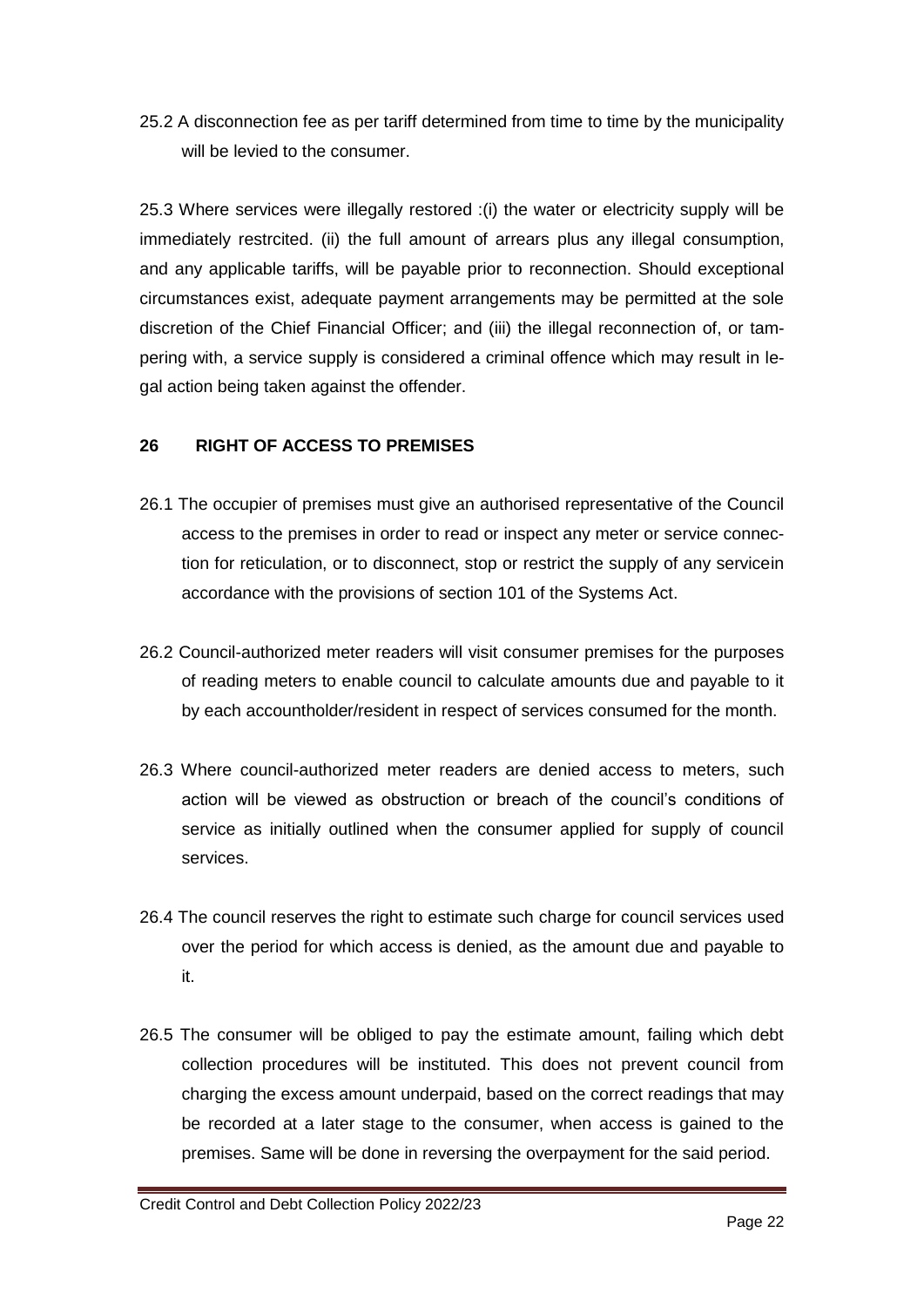25.2 A disconnection fee as per tariff determined from time to time by the municipality will be levied to the consumer.

25.3 Where services were illegally restored :(i) the water or electricity supply will be immediately restrcited. (ii) the full amount of arrears plus any illegal consumption, and any applicable tariffs, will be payable prior to reconnection. Should exceptional circumstances exist, adequate payment arrangements may be permitted at the sole discretion of the Chief Financial Officer; and (iii) the illegal reconnection of, or tampering with, a service supply is considered a criminal offence which may result in legal action being taken against the offender.

#### **26 RIGHT OF ACCESS TO PREMISES**

- 26.1 The occupier of premises must give an authorised representative of the Council access to the premises in order to read or inspect any meter or service connection for reticulation, or to disconnect, stop or restrict the supply of any servicein accordance with the provisions of section 101 of the Systems Act.
- 26.2 Council-authorized meter readers will visit consumer premises for the purposes of reading meters to enable council to calculate amounts due and payable to it by each accountholder/resident in respect of services consumed for the month.
- 26.3 Where council-authorized meter readers are denied access to meters, such action will be viewed as obstruction or breach of the council's conditions of service as initially outlined when the consumer applied for supply of council services.
- 26.4 The council reserves the right to estimate such charge for council services used over the period for which access is denied, as the amount due and payable to it.
- 26.5 The consumer will be obliged to pay the estimate amount, failing which debt collection procedures will be instituted. This does not prevent council from charging the excess amount underpaid, based on the correct readings that may be recorded at a later stage to the consumer, when access is gained to the premises. Same will be done in reversing the overpayment for the said period.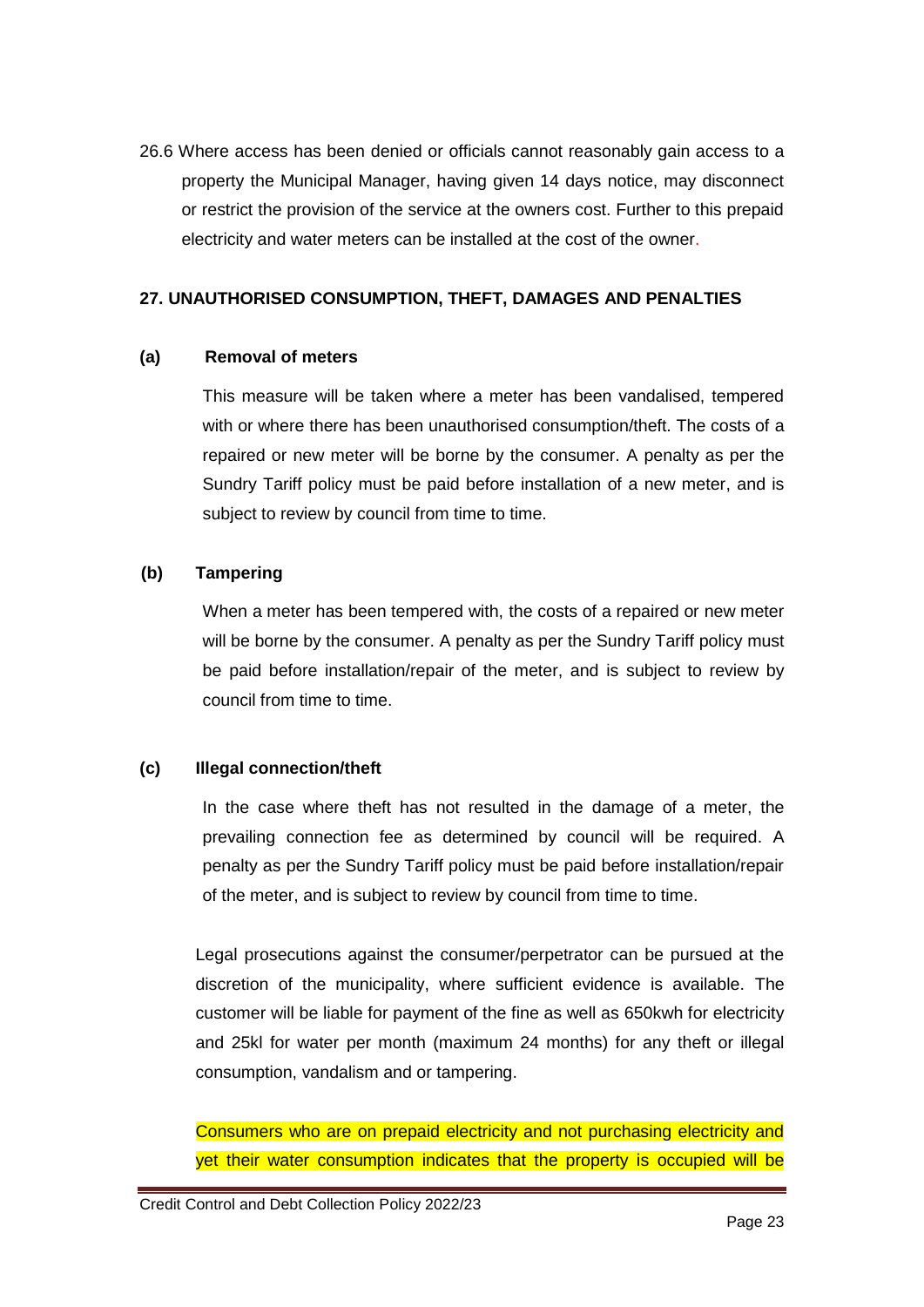26.6 Where access has been denied or officials cannot reasonably gain access to a property the Municipal Manager, having given 14 days notice, may disconnect or restrict the provision of the service at the owners cost. Further to this prepaid electricity and water meters can be installed at the cost of the owner.

#### **27. UNAUTHORISED CONSUMPTION, THEFT, DAMAGES AND PENALTIES**

#### **(a) Removal of meters**

This measure will be taken where a meter has been vandalised, tempered with or where there has been unauthorised consumption/theft. The costs of a repaired or new meter will be borne by the consumer. A penalty as per the Sundry Tariff policy must be paid before installation of a new meter, and is subject to review by council from time to time.

#### **(b) Tampering**

When a meter has been tempered with, the costs of a repaired or new meter will be borne by the consumer. A penalty as per the Sundry Tariff policy must be paid before installation/repair of the meter, and is subject to review by council from time to time.

#### **(c) Illegal connection/theft**

In the case where theft has not resulted in the damage of a meter, the prevailing connection fee as determined by council will be required. A penalty as per the Sundry Tariff policy must be paid before installation/repair of the meter, and is subject to review by council from time to time.

Legal prosecutions against the consumer/perpetrator can be pursued at the discretion of the municipality, where sufficient evidence is available. The customer will be liable for payment of the fine as well as 650kwh for electricity and 25kl for water per month (maximum 24 months) for any theft or illegal consumption, vandalism and or tampering.

Consumers who are on prepaid electricity and not purchasing electricity and yet their water consumption indicates that the property is occupied will be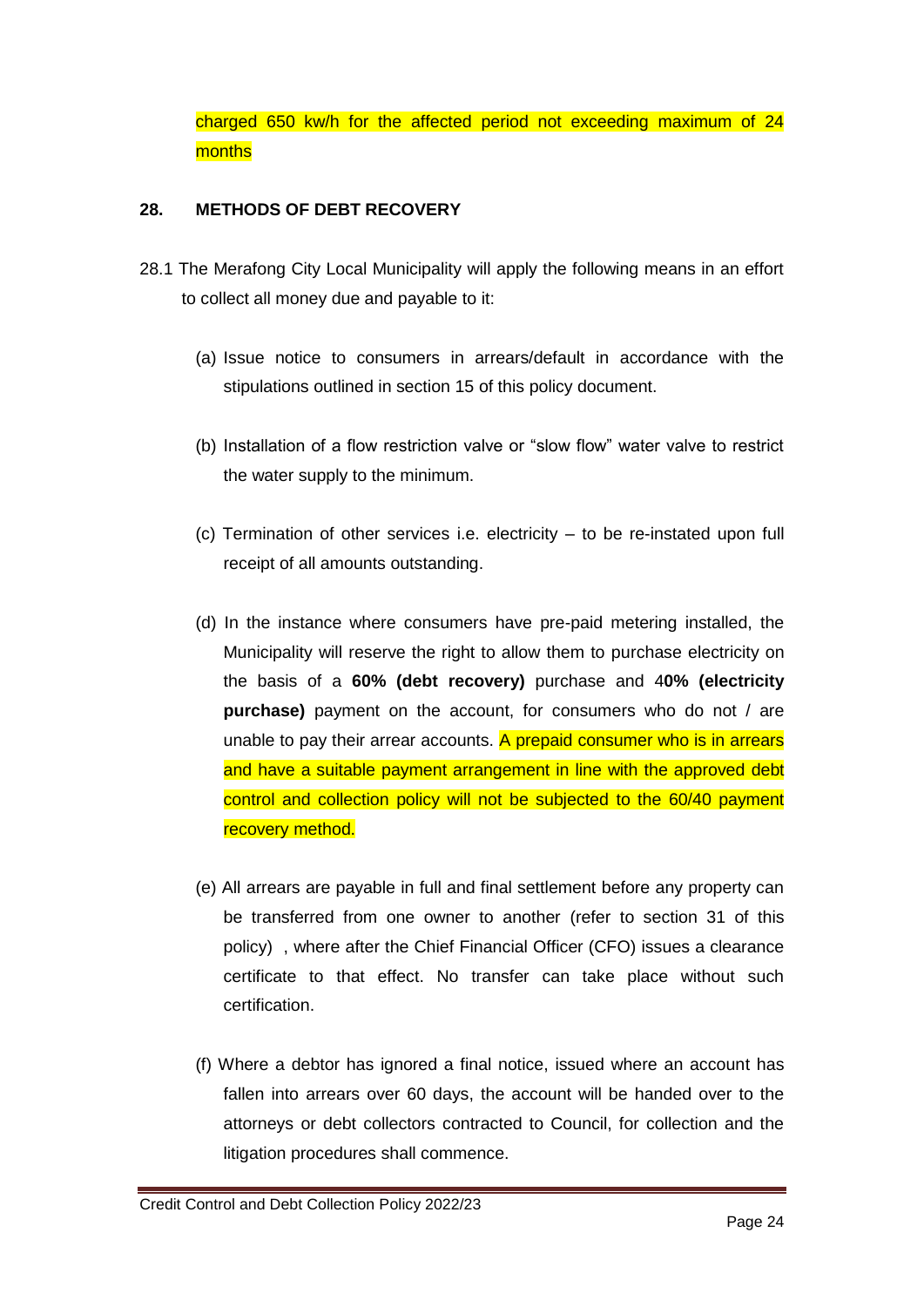charged 650 kw/h for the affected period not exceeding maximum of 24 months

#### **28. METHODS OF DEBT RECOVERY**

- 28.1 The Merafong City Local Municipality will apply the following means in an effort to collect all money due and payable to it:
	- (a) Issue notice to consumers in arrears/default in accordance with the stipulations outlined in section 15 of this policy document.
	- (b) Installation of a flow restriction valve or "slow flow" water valve to restrict the water supply to the minimum.
	- (c) Termination of other services i.e. electricity to be re-instated upon full receipt of all amounts outstanding.
	- (d) In the instance where consumers have pre-paid metering installed, the Municipality will reserve the right to allow them to purchase electricity on the basis of a **60% (debt recovery)** purchase and 4**0% (electricity purchase)** payment on the account, for consumers who do not / are unable to pay their arrear accounts. A prepaid consumer who is in arrears and have a suitable payment arrangement in line with the approved debt control and collection policy will not be subjected to the 60/40 payment recovery method.
	- (e) All arrears are payable in full and final settlement before any property can be transferred from one owner to another (refer to section 31 of this policy) , where after the Chief Financial Officer (CFO) issues a clearance certificate to that effect. No transfer can take place without such certification.
	- (f) Where a debtor has ignored a final notice, issued where an account has fallen into arrears over 60 days, the account will be handed over to the attorneys or debt collectors contracted to Council, for collection and the litigation procedures shall commence.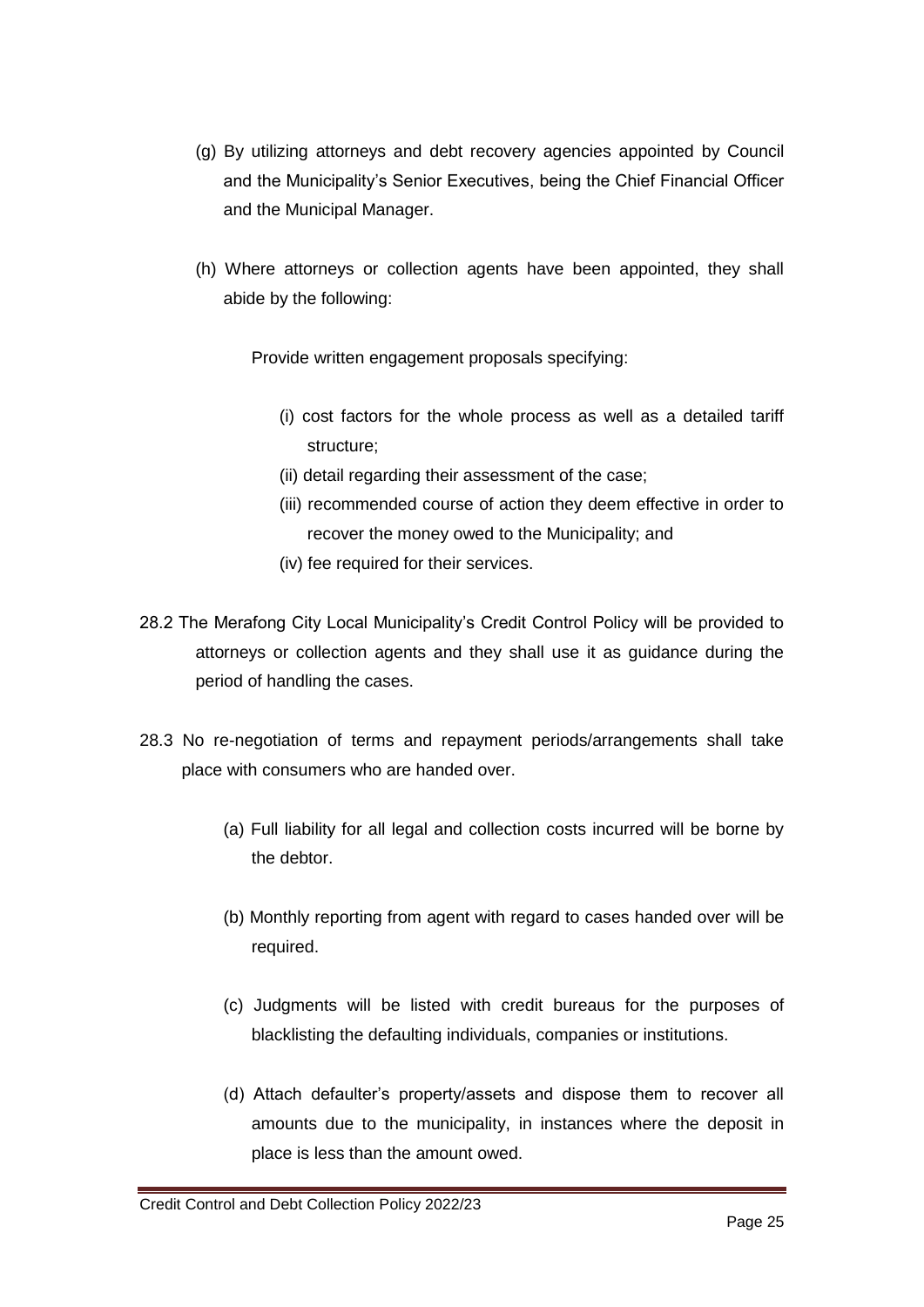- (g) By utilizing attorneys and debt recovery agencies appointed by Council and the Municipality's Senior Executives, being the Chief Financial Officer and the Municipal Manager.
- (h) Where attorneys or collection agents have been appointed, they shall abide by the following:

Provide written engagement proposals specifying:

- (i) cost factors for the whole process as well as a detailed tariff structure;
- (ii) detail regarding their assessment of the case;
- (iii) recommended course of action they deem effective in order to recover the money owed to the Municipality; and
- (iv) fee required for their services.
- 28.2 The Merafong City Local Municipality's Credit Control Policy will be provided to attorneys or collection agents and they shall use it as guidance during the period of handling the cases.
- 28.3 No re-negotiation of terms and repayment periods/arrangements shall take place with consumers who are handed over.
	- (a) Full liability for all legal and collection costs incurred will be borne by the debtor.
	- (b) Monthly reporting from agent with regard to cases handed over will be required.
	- (c) Judgments will be listed with credit bureaus for the purposes of blacklisting the defaulting individuals, companies or institutions.
	- (d) Attach defaulter's property/assets and dispose them to recover all amounts due to the municipality, in instances where the deposit in place is less than the amount owed.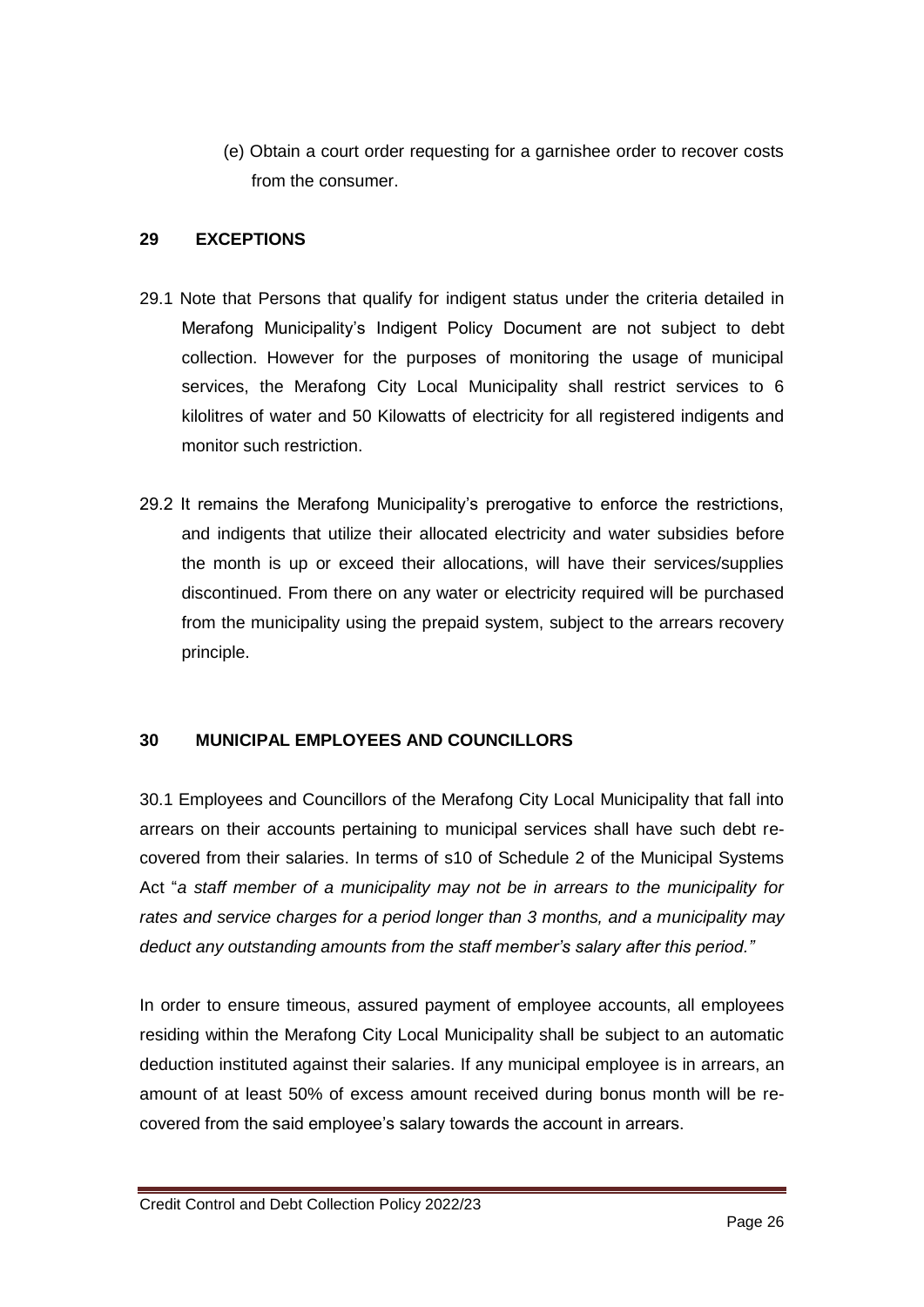(e) Obtain a court order requesting for a garnishee order to recover costs from the consumer.

#### **29 EXCEPTIONS**

- 29.1 Note that Persons that qualify for indigent status under the criteria detailed in Merafong Municipality's Indigent Policy Document are not subject to debt collection. However for the purposes of monitoring the usage of municipal services, the Merafong City Local Municipality shall restrict services to 6 kilolitres of water and 50 Kilowatts of electricity for all registered indigents and monitor such restriction.
- 29.2 It remains the Merafong Municipality's prerogative to enforce the restrictions, and indigents that utilize their allocated electricity and water subsidies before the month is up or exceed their allocations, will have their services/supplies discontinued. From there on any water or electricity required will be purchased from the municipality using the prepaid system, subject to the arrears recovery principle.

#### **30 MUNICIPAL EMPLOYEES AND COUNCILLORS**

30.1 Employees and Councillors of the Merafong City Local Municipality that fall into arrears on their accounts pertaining to municipal services shall have such debt recovered from their salaries. In terms of s10 of Schedule 2 of the Municipal Systems Act "*a staff member of a municipality may not be in arrears to the municipality for rates and service charges for a period longer than 3 months, and a municipality may deduct any outstanding amounts from the staff member's salary after this period."*

In order to ensure timeous, assured payment of employee accounts, all employees residing within the Merafong City Local Municipality shall be subject to an automatic deduction instituted against their salaries. If any municipal employee is in arrears, an amount of at least 50% of excess amount received during bonus month will be recovered from the said employee's salary towards the account in arrears.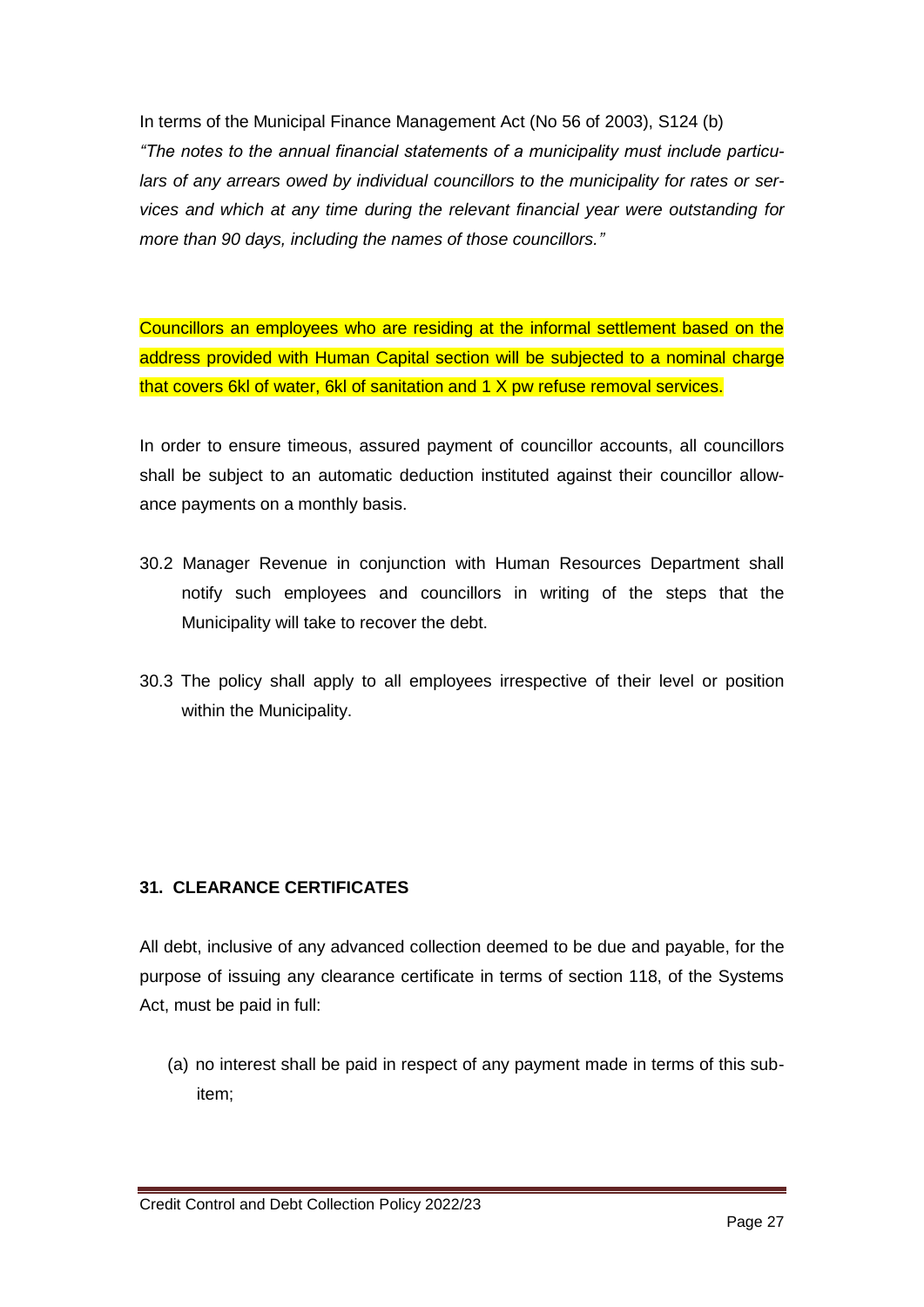In terms of the Municipal Finance Management Act (No 56 of 2003), S124 (b) *"The notes to the annual financial statements of a municipality must include particulars of any arrears owed by individual councillors to the municipality for rates or services and which at any time during the relevant financial year were outstanding for more than 90 days, including the names of those councillors."*

Councillors an employees who are residing at the informal settlement based on the address provided with Human Capital section will be subjected to a nominal charge that covers 6kl of water, 6kl of sanitation and 1 X pw refuse removal services.

In order to ensure timeous, assured payment of councillor accounts, all councillors shall be subject to an automatic deduction instituted against their councillor allowance payments on a monthly basis.

- 30.2 Manager Revenue in conjunction with Human Resources Department shall notify such employees and councillors in writing of the steps that the Municipality will take to recover the debt.
- 30.3 The policy shall apply to all employees irrespective of their level or position within the Municipality.

## **31. CLEARANCE CERTIFICATES**

All debt, inclusive of any advanced collection deemed to be due and payable, for the purpose of issuing any clearance certificate in terms of section 118, of the Systems Act, must be paid in full:

(a) no interest shall be paid in respect of any payment made in terms of this subitem;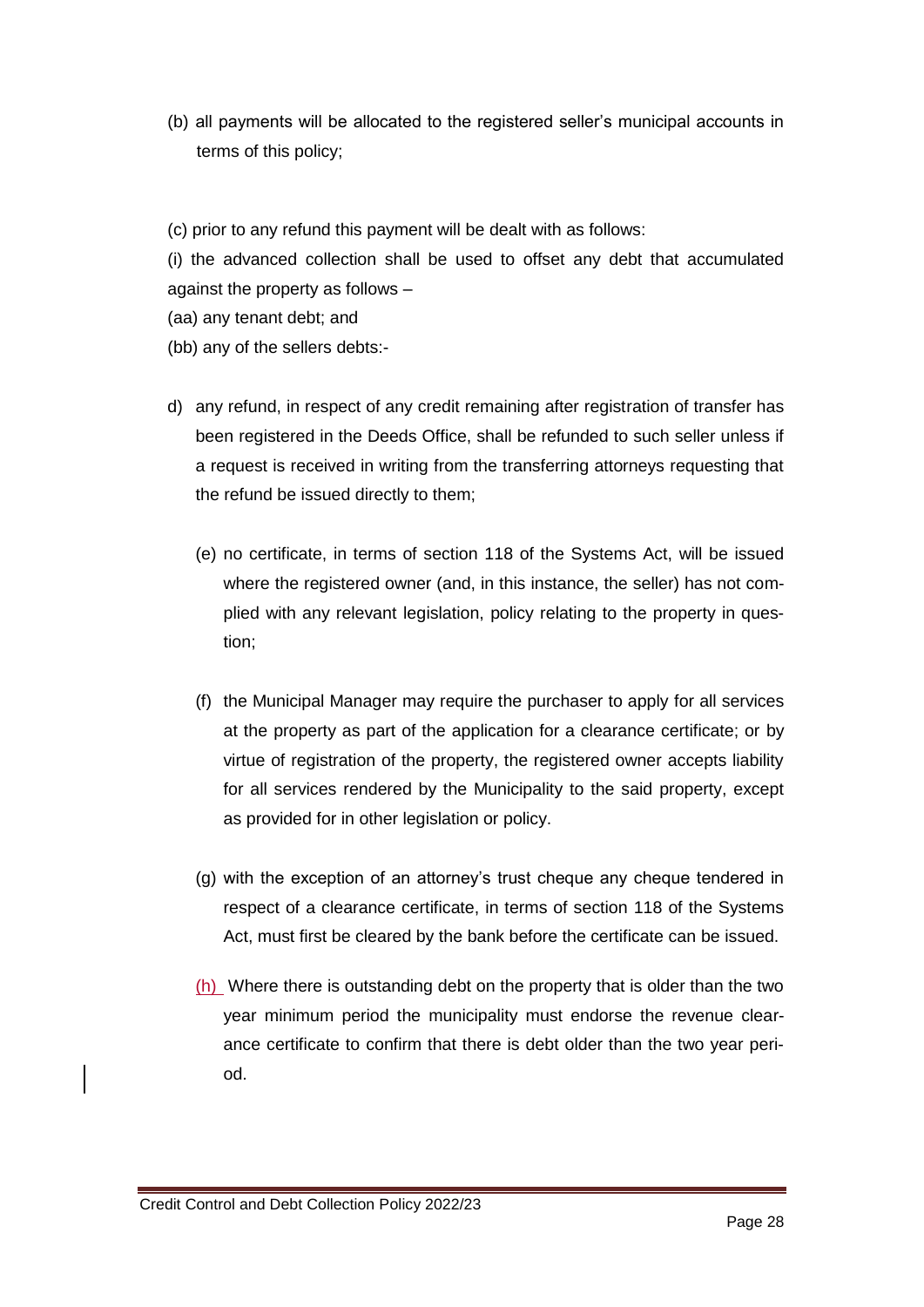- (b) all payments will be allocated to the registered seller's municipal accounts in terms of this policy;
- (c) prior to any refund this payment will be dealt with as follows:

(i) the advanced collection shall be used to offset any debt that accumulated against the property as follows –

- (aa) any tenant debt; and
- (bb) any of the sellers debts:-
- d) any refund, in respect of any credit remaining after registration of transfer has been registered in the Deeds Office, shall be refunded to such seller unless if a request is received in writing from the transferring attorneys requesting that the refund be issued directly to them;
	- (e) no certificate, in terms of section 118 of the Systems Act, will be issued where the registered owner (and, in this instance, the seller) has not complied with any relevant legislation, policy relating to the property in question;
	- (f) the Municipal Manager may require the purchaser to apply for all services at the property as part of the application for a clearance certificate; or by virtue of registration of the property, the registered owner accepts liability for all services rendered by the Municipality to the said property, except as provided for in other legislation or policy.
	- (g) with the exception of an attorney's trust cheque any cheque tendered in respect of a clearance certificate, in terms of section 118 of the Systems Act, must first be cleared by the bank before the certificate can be issued.
	- (h) Where there is outstanding debt on the property that is older than the two year minimum period the municipality must endorse the revenue clearance certificate to confirm that there is debt older than the two year period.